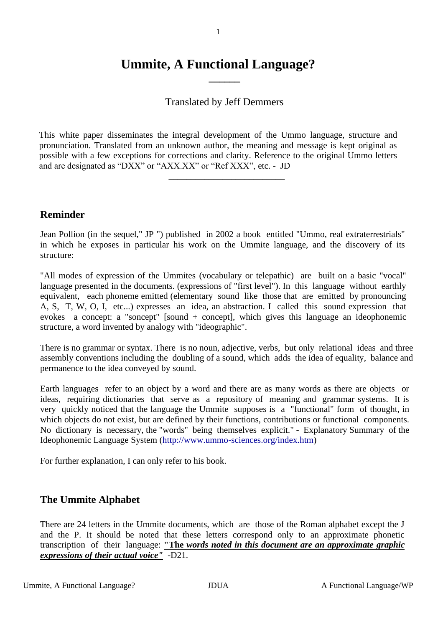# **Ummite, A Functional Language?**

1

#### Translated by Jeff Demmers

**\_\_\_\_\_\_**

This white paper disseminates the integral development of the Ummo language, structure and pronunciation. Translated from an unknown author, the meaning and message is kept original as possible with a few exceptions for corrections and clarity. Reference to the original Ummo letters and are designated as "DXX" or "AXX.XX" or "Ref XXX", etc. - JD

 $\overline{\phantom{a}}$  , and the contract of the contract of the contract of the contract of the contract of the contract of the contract of the contract of the contract of the contract of the contract of the contract of the contrac

## **Reminder**

Jean Pollion (in the sequel," JP ") published in 2002 a book entitled "Ummo, real extraterrestrials" in which he exposes in particular his work on the Ummite language, and the discovery of its structure:

"All modes of expression of the Ummites (vocabulary or telepathic) are built on a basic "vocal" language presented in the documents. (expressions of "first level"). In this language without earthly equivalent, each phoneme emitted (elementary sound like those that are emitted by pronouncing A, S, T, W, O, I, etc...) expresses an idea, an abstraction. I called this sound expression that evokes a concept: a "soncept" [sound + concept], which gives this language an ideophonemic structure, a word invented by analogy with "ideographic".

There is no grammar or syntax. There is no noun, adjective, verbs, but only relational ideas and three assembly conventions including the doubling of a sound, which adds the idea of equality, balance and permanence to the idea conveyed by sound.

Earth languages refer to an object by a word and there are as many words as there are objects or ideas, requiring dictionaries that serve as a repository of meaning and grammar systems. It is very quickly noticed that the language the Ummite supposes is a "functional" form of thought, in which objects do not exist, but are defined by their functions, contributions or functional components. No dictionary is necessary, the "words" being themselves explicit." *-* Explanatory Summary of the Ideophonemic Language System [\(http://www.ummo-sciences.org/index.htm\)](http://www.ummo-sciences.org/index.htm)

For further explanation, I can only refer to his book.

## **The Ummite Alphabet**

There are 24 letters in the Ummite documents, which are those of the Roman alphabet except the J and the P. It should be noted that these letters correspond only to an approximate phonetic transcription of their language: **"The** *words noted in this document are an approximate graphic expressions of their actual voice"* -D21.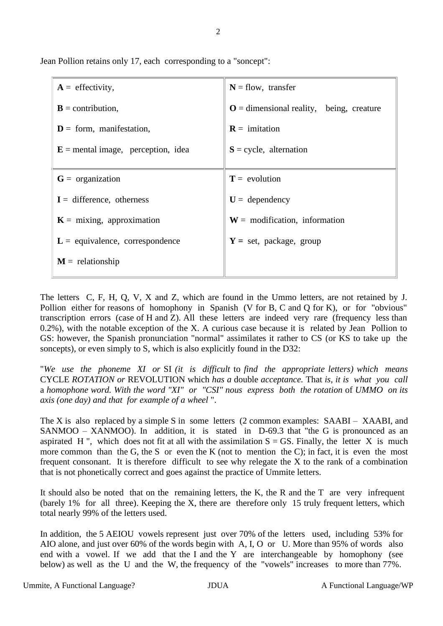| $A =$ effectivity,                   | $N = flow$ , transfer                               |  |
|--------------------------------------|-----------------------------------------------------|--|
| $\mathbf{B} =$ contribution,         | $\mathbf{O}$ = dimensional reality, being, creature |  |
| $\mathbf{D} =$ form, manifestation,  | $\mathbf{R} =$ imitation                            |  |
| $E$ = mental image, perception, idea | $S = cycle$ , alternation                           |  |
|                                      |                                                     |  |
| $G =$ organization                   | $T =$ evolution                                     |  |
| $I =$ difference, otherness          | $U =$ dependency                                    |  |
| $K =$ mixing, approximation          | $W =$ modification, information                     |  |
| $L =$ equivalence, correspondence    | $Y = set$ , package, group                          |  |
| $M =$ relationship                   |                                                     |  |

Jean Pollion retains only 17, each corresponding to a "soncept":

The letters C, F, H, Q, V, X and Z, which are found in the Ummo letters, are not retained by J. Pollion either for reasons of homophony in Spanish (V for B, C and Q for K), or for "obvious" transcription errors (case of H and Z). All these letters are indeed very rare (frequency less than 0.2%), with the notable exception of the X. A curious case because it is related by Jean Pollion to GS: however, the Spanish pronunciation "normal" assimilates it rather to CS (or KS to take up the soncepts), or even simply to S, which is also explicitly found in the D32:

"*We use the phoneme XI or* SI *(it is difficult* to *find the appropriate letters) which means* CYCLE *ROTATION or* REVOLUTION which *has a* double *acceptance.* That *is, it is what you call* a *homophone word. With the word "XI" or "CSI" nous express both the rotation* of *UMMO on its axis (one day) and that for example of a wheel* ".

The X is also replaced by a simple S in some letters (2 common examples: SAABI – XAABI, and SANMOO – XANMOO). In addition, it is stated in D-69.3 that "the G is pronounced as an aspirated H ", which does not fit at all with the assimilation  $S = GS$ . Finally, the letter X is much more common than the G, the S or even the K (not to mention the C); in fact, it is even the most frequent consonant. It is therefore difficult to see why relegate the X to the rank of a combination that is not phonetically correct and goes against the practice of Ummite letters.

It should also be noted that on the remaining letters, the K, the R and the T are very infrequent (barely 1% for all three). Keeping the X, there are therefore only 15 truly frequent letters, which total nearly 99% of the letters used.

In addition, the 5 AEIOU vowels represent just over 70% of the letters used, including 53% for AIO alone, and just over 60% of the words begin with A, I, O or U. More than 95% of words also end with a vowel. If we add that the I and the Y are interchangeable by homophony (see below) as well as the U and the W, the frequency of the "vowels" increases to more than 77%.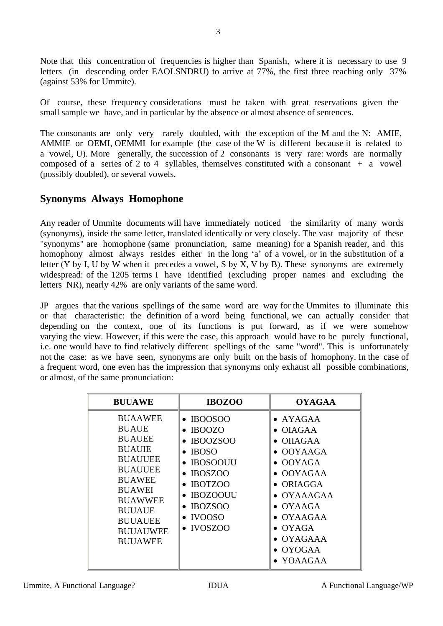Note that this concentration of frequencies is higher than Spanish, where it is necessary to use 9 letters (in descending order EAOLSNDRU) to arrive at 77%, the first three reaching only 37% (against 53% for Ummite).

Of course, these frequency considerations must be taken with great reservations given the small sample we have, and in particular by the absence or almost absence of sentences.

The consonants are only very rarely doubled, with the exception of the M and the N: AMIE, AMMIE or OEMI, OEMMI for example (the case of the W is different because it is related to a vowel, U). More generally, the succession of 2 consonants is very rare: words are normally composed of a series of 2 to 4 syllables, themselves constituted with a consonant  $+$  a vowel (possibly doubled), or several vowels.

## **Synonyms Always Homophone**

Any reader of Ummite documents will have immediately noticed the similarity of many words (synonyms), inside the same letter, translated identically or very closely. The vast majority of these "synonyms" are homophone (same pronunciation, same meaning) for a Spanish reader, and this homophony almost always resides either in the long 'a' of a vowel, or in the substitution of a letter (Y by I, U by W when it precedes a vowel, S by X, V by B). These synonyms are extremely widespread: of the 1205 terms I have identified (excluding proper names and excluding the letters NR), nearly 42% are only variants of the same word.

JP argues that the various spellings of the same word are way for the Ummites to illuminate this or that characteristic: the definition of a word being functional, we can actually consider that depending on the context, one of its functions is put forward, as if we were somehow varying the view. However, if this were the case, this approach would have to be purely functional, i.e. one would have to find relatively different spellings of the same "word". This is unfortunately not the case: as we have seen, synonyms are only built on the basis of homophony. In the case of a frequent word, one even has the impression that synonyms only exhaust all possible combinations, or almost, of the same pronunciation:

| <b>BUUAWE</b>                                                                                                                                                                                                                    | <b>IBOZOO</b>                                                                                                                                                                                                                                        | <b>OYAGAA</b>                                                                                                                                                                                                                                                      |
|----------------------------------------------------------------------------------------------------------------------------------------------------------------------------------------------------------------------------------|------------------------------------------------------------------------------------------------------------------------------------------------------------------------------------------------------------------------------------------------------|--------------------------------------------------------------------------------------------------------------------------------------------------------------------------------------------------------------------------------------------------------------------|
| <b>BUAAWEE</b><br><b>BUAUE</b><br><b>BUAUEE</b><br><b>BUAUIE</b><br><b>BUAUUEE</b><br><b>BUAUUEE</b><br><b>BUAWEE</b><br><b>BUAWEI</b><br><b>BUAWWEE</b><br><b>BUUAUE</b><br><b>BUUAUEE</b><br><b>BUUAUWEE</b><br><b>BUUAWEE</b> | $\bullet$ IBOOSOO<br><b>IBOOZO</b><br>$\bullet$<br><b>IBOOZSOO</b><br><b>IBOSO</b><br><b>IBOSOOUU</b><br>$\bullet$<br><b>IBOSZOO</b><br><b>IBOTZOO</b><br>$\bullet$<br><b>IBOZOOUU</b><br>$\bullet$ IBOZSOO<br>$\bullet$ IVOOSO<br>$\bullet$ IVOSZOO | $\bullet$ AYAGAA<br>$\bullet$ OIAGAA<br>$\bullet$ OIIAGAA<br>$\bullet$ OOYAAGA<br>$\bullet$ OOYAGA<br>$\bullet$ OOYAGAA<br>$\bullet$ ORIAGGA<br>$\bullet$ OYAAAGAA<br>• OYAAGA<br>$\bullet$ OYAAGAA<br>$\bullet$ OYAGA<br>$\bullet$ OYAGAAA<br>• OYOGAA<br>YOAAGAA |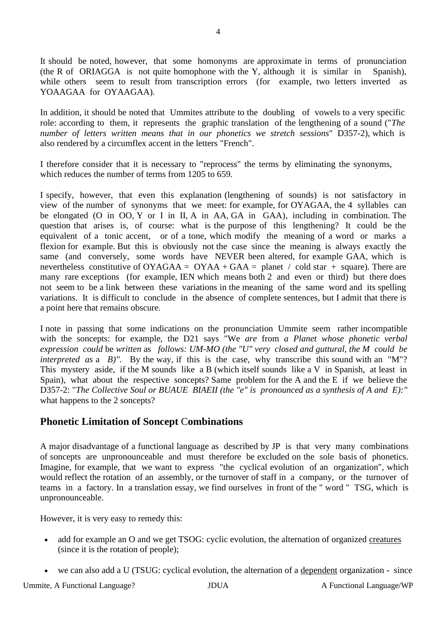It should be noted, however, that some homonyms are approximate in terms of pronunciation (the R of ORIAGGA is not quite homophone with the Y, although it is similar in Spanish), while others seem to result from transcription errors (for example, two letters inverted as YOAAGAA for OYAAGAA).

In addition, it should be noted that Ummites attribute to the doubling of vowels to a very specific role: according to them, it represents the graphic translation of the lengthening of a sound ("*The number of letters written means that in our phonetics we stretch sessions*" D357-2), which is also rendered by a circumflex accent in the letters "French".

I therefore consider that it is necessary to "reprocess" the terms by eliminating the synonyms, which reduces the number of terms from 1205 to 659.

I specify, however, that even this explanation (lengthening of sounds) is not satisfactory in view of the number of synonyms that we meet: for example, for OYAGAA, the 4 syllables can be elongated (O in OO, Y or I in II, A in AA, GA in GAA), including in combination. The question that arises is, of course: what is the purpose of this lengthening? It could be the equivalent of a tonic accent, or of a tone, which modify the meaning of a word or marks a flexion for example. But this is obviously not the case since the meaning is always exactly the same (and conversely, some words have NEVER been altered, for example GAA, which is nevertheless constitutive of OYAGAA = OYAA + GAA = planet / cold star + square). There are many rare exceptions (for example, IEN which means both 2 and even or third) but there does not seem to be a link between these variations in the meaning of the same word and its spelling variations. It is difficult to conclude in the absence of complete sentences, but I admit that there is a point here that remains obscure.

I note in passing that some indications on the pronunciation Ummite seem rather incompatible with the soncepts: for example, the D21 says "We *are* from *a Planet whose phonetic verbal expression could* be *written* as *follows: UM-MO (the "U" very closed and guttural, the M could be interpreted as* a *B*)". By the way, if this is the case, why transcribe this sound with an "M"? This mystery aside, if the M sounds like a B (which itself sounds like a V in Spanish, at least in Spain), what about the respective soncepts? Same problem for the A and the E if we believe the D357-2: "*The Collective Soul or BUAUE BIAEII (the "e" is pronounced as a synthesis of A and E):"* what happens to the 2 soncepts?

## **Phonetic Limitation of Soncept** C**ombinations**

A major disadvantage of a functional language as described by JP is that very many combinations of soncepts are unpronounceable and must therefore be excluded on the sole basis of phonetics. Imagine, for example, that we want to express "the cyclical evolution of an organization", which would reflect the rotation of an assembly, or the turnover of staff in a company, or the turnover of teams in a factory. In a translation essay, we find ourselves in front of the " word " TSG, which is unpronounceable.

However, it is very easy to remedy this:

- add for example an O and we get TSOG: cyclic evolution, the alternation of organized creatures (since it is the rotation of people);
- we can also add a U (TSUG: cyclical evolution, the alternation of a <u>dependent</u> organization since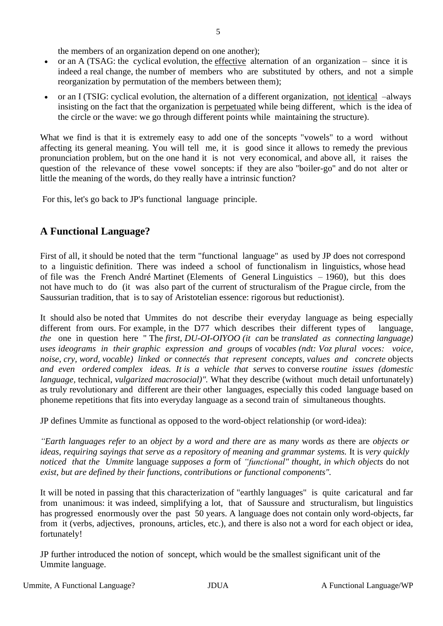the members of an organization depend on one another);

- or an A (TSAG: the cyclical evolution, the effective alternation of an organization since it is indeed a real change, the number of members who are substituted by others, and not a simple reorganization by permutation of the members between them);
- or an I (TSIG: cyclical evolution, the alternation of a different organization, not identical –always insisting on the fact that the organization is perpetuated while being different, which is the idea of the circle or the wave: we go through different points while maintaining the structure).

What we find is that it is extremely easy to add one of the soncepts "vowels" to a word without affecting its general meaning. You will tell me, it is good since it allows to remedy the previous pronunciation problem, but on the one hand it is not very economical, and above all, it raises the question of the relevance of these vowel soncepts: if they are also "boiler-go" and do not alter or little the meaning of the words, do they really have a intrinsic function?

For this, let's go back to JP's functional language principle.

## **A Functional Language?**

First of all, it should be noted that the term "functional language" as used by JP does not correspond to a linguistic definition. There was indeed a school of functionalism in linguistics, whose head of file was the French André Martinet (Elements of General Linguistics – 1960), but this does not have much to do (it was also part of the current of structuralism of the Prague circle, from the Saussurian tradition, that is to say of Aristotelian essence: rigorous but reductionist).

It should also be noted that Ummites do not describe their everyday language as being especially different from ours. For example, in the D77 which describes their different types of language, *the* one in question here " The *first, DU-OI-OIYOO (it can* be *translated as connecting language) uses ideograms in their graphic expression and groups* of *vocables (ndt: Voz plural voces: voice, noise, cry, word, vocable) linked or* c*onnectés that represent concepts, values and concrete* objects *and even ordered complex ideas. It is a vehicle that serves* to converse *routine issues (domestic language,* technical, *vulgarized macrosocial)".* What they describe (without much detail unfortunately) as truly revolutionary and different are their other languages, especially this coded language based on phoneme repetitions that fits into everyday language as a second train of simultaneous thoughts.

JP defines Ummite as functional as opposed to the word-object relationship (or word-idea):

*"Earth languages refer to* an *object by a word and there are* as *many* words *as* there are *objects or ideas, requiring sayings that serve as a repository of meaning and grammar systems.* It is *very quickly noticed that the Ummite* language *supposes a form* of *"functional" thought, in which objects* do not *exist, but are defined by their functions, contributions or functional components".*

It will be noted in passing that this characterization of "earthly languages" is quite caricatural and far from unanimous: it was indeed, simplifying a lot, that of Saussure and structuralism, but linguistics has progressed enormously over the past 50 years. A language does not contain only word-objects, far from it (verbs, adjectives, pronouns, articles, etc.), and there is also not a word for each object or idea, fortunately!

JP further introduced the notion of soncept, which would be the smallest significant unit of the Ummite language.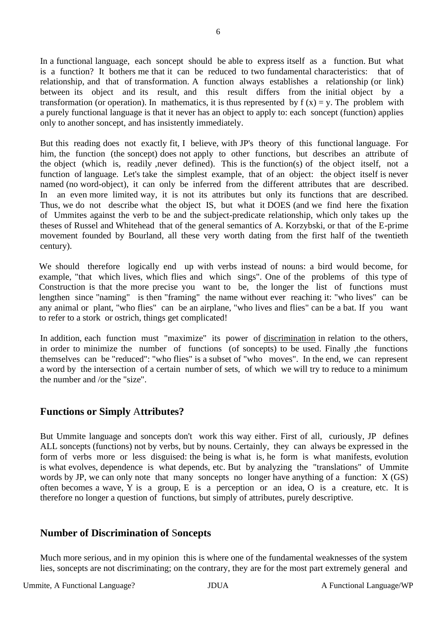In a functional language, each soncept should be able to express itself as a function. But what is a function? It bothers me that it can be reduced to two fundamental characteristics: that of relationship, and that of transformation. A function always establishes a relationship (or link) between its object and its result, and this result differs from the initial object by a transformation (or operation). In mathematics, it is thus represented by  $f(x) = y$ . The problem with a purely functional language is that it never has an object to apply to: each soncept (function) applies only to another soncept, and has insistently immediately.

But this reading does not exactly fit, I believe, with JP's theory of this functional language. For him, the function (the soncept) does not apply to other functions, but describes an attribute of the object (which is, readily ,never defined). This is the function(s) of the object itself, not a function of language. Let's take the simplest example, that of an object: the object itself is never named (no word-object), it can only be inferred from the different attributes that are described. In an even more limited way, it is not its attributes but only its functions that are described. Thus, we do not describe what the object IS, but what it DOES (and we find here the fixation of Ummites against the verb to be and the subject-predicate relationship, which only takes up the theses of Russel and Whitehead that of the general semantics of A. Korzybski, or that of the E-prime movement founded by Bourland, all these very worth dating from the first half of the twentieth century).

We should therefore logically end up with verbs instead of nouns: a bird would become, for example, "that which lives, which flies and which sings". One of the problems of this type of Construction is that the more precise you want to be, the longer the list of functions must lengthen since "naming" is then "framing" the name without ever reaching it: "who lives" can be any animal or plant, "who flies" can be an airplane, "who lives and flies" can be a bat. If you want to refer to a stork or ostrich, things get complicated!

In addition, each function must "maximize" its power of discrimination in relation to the others, in order to minimize the number of functions (of soncepts) to be used. Finally ,the functions themselves can be "reduced": "who flies" is a subset of "who moves". In the end, we can represent a word by the intersection of a certain number of sets, of which we will try to reduce to a minimum the number and /or the "size".

## **Functions or Simply** A**ttributes?**

But Ummite language and soncepts don't work this way either. First of all, curiously, JP defines ALL soncepts (functions) not by verbs, but by nouns. Certainly, they can always be expressed in the form of verbs more or less disguised: the being is what is, he form is what manifests, evolution is what evolves, dependence is what depends, etc. But by analyzing the "translations" of Ummite words by JP, we can only note that many soncepts no longer have anything of a function: X (GS) often becomes a wave, Y is a group, E is a perception or an idea, O is a creature, etc. It is therefore no longer a question of functions, but simply of attributes, purely descriptive.

## **Number of Discrimination of** S**oncepts**

Much more serious, and in my opinion this is where one of the fundamental weaknesses of the system lies, soncepts are not discriminating; on the contrary, they are for the most part extremely general and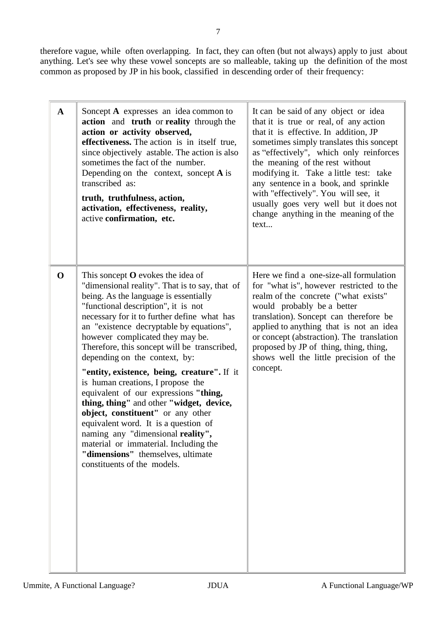therefore vague, while often overlapping. In fact, they can often (but not always) apply to just about anything. Let's see why these vowel soncepts are so malleable, taking up the definition of the most common as proposed by JP in his book, classified in descending order of their frequency:

| $\mathbf{A}$ | Soncept A expresses an idea common to<br>action and truth or reality through the<br>action or activity observed,<br>effectiveness. The action is in itself true,<br>since objectively astable. The action is also<br>sometimes the fact of the number.<br>Depending on the context, soncept A is<br>transcribed as:<br>truth, truthfulness, action,<br>activation, effectiveness, reality,<br>active confirmation, etc.                                                                                                                                                                                                                                                                                                                                                                       | It can be said of any object or idea<br>that it is true or real, of any action<br>that it is effective. In addition, JP<br>sometimes simply translates this soncept<br>as "effectively", which only reinforces<br>the meaning of the rest without<br>modifying it. Take a little test: take<br>any sentence in a book, and sprinkle<br>with "effectively". You will see, it<br>usually goes very well but it does not<br>change anything in the meaning of the<br>text |
|--------------|-----------------------------------------------------------------------------------------------------------------------------------------------------------------------------------------------------------------------------------------------------------------------------------------------------------------------------------------------------------------------------------------------------------------------------------------------------------------------------------------------------------------------------------------------------------------------------------------------------------------------------------------------------------------------------------------------------------------------------------------------------------------------------------------------|------------------------------------------------------------------------------------------------------------------------------------------------------------------------------------------------------------------------------------------------------------------------------------------------------------------------------------------------------------------------------------------------------------------------------------------------------------------------|
| $\mathbf 0$  | This soncept $O$ evokes the idea of<br>"dimensional reality". That is to say, that of<br>being. As the language is essentially<br>"functional description", it is not<br>necessary for it to further define what has<br>an "existence decryptable by equations",<br>however complicated they may be.<br>Therefore, this soncept will be transcribed,<br>depending on the context, by:<br>"entity, existence, being, creature". If it<br>is human creations, I propose the<br>equivalent of our expressions "thing,<br>thing, thing" and other "widget, device,<br>object, constituent" or any other<br>equivalent word. It is a question of<br>naming any "dimensional reality",<br>material or immaterial. Including the<br>"dimensions" themselves, ultimate<br>constituents of the models. | Here we find a one-size-all formulation<br>for "what is", however restricted to the<br>realm of the concrete ("what exists"<br>would probably be a better<br>translation). Soncept can therefore be<br>applied to anything that is not an idea<br>or concept (abstraction). The translation<br>proposed by JP of thing, thing, thing,<br>shows well the little precision of the<br>concept.                                                                            |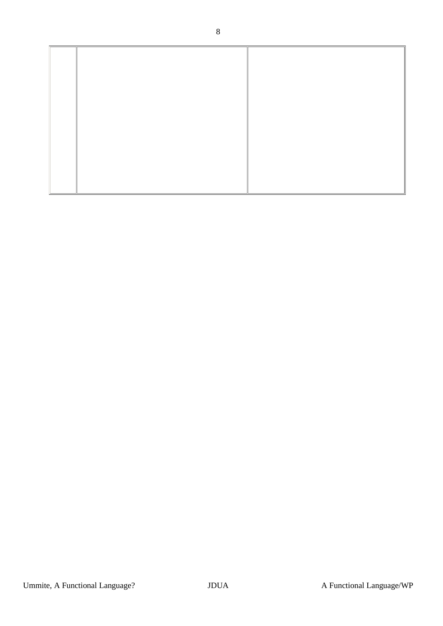8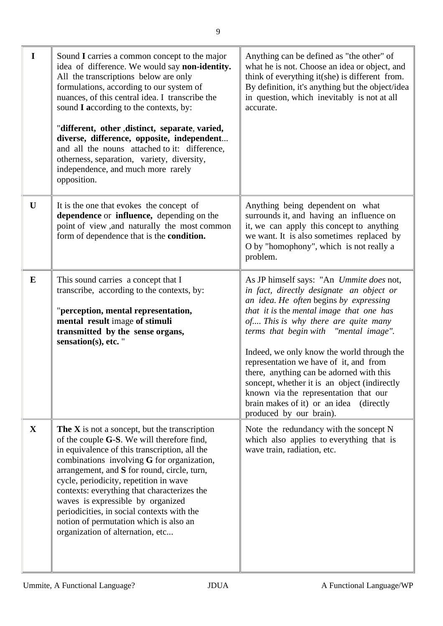| $\mathbf I$  | Sound I carries a common concept to the major<br>idea of difference. We would say non-identity.<br>All the transcriptions below are only<br>formulations, according to our system of<br>nuances, of this central idea. I transcribe the<br>sound I according to the contexts, by:<br>"different, other distinct, separate, varied,<br>diverse, difference, opposite, independent<br>and all the nouns attached to it: difference,<br>otherness, separation, variety, diversity,<br>independence, and much more rarely<br>opposition. | Anything can be defined as "the other" of<br>what he is not. Choose an idea or object, and<br>think of everything it(she) is different from.<br>By definition, it's anything but the object/idea<br>in question, which inevitably is not at all<br>accurate.                                                                                                                                                                                                                                                                                                         |
|--------------|--------------------------------------------------------------------------------------------------------------------------------------------------------------------------------------------------------------------------------------------------------------------------------------------------------------------------------------------------------------------------------------------------------------------------------------------------------------------------------------------------------------------------------------|----------------------------------------------------------------------------------------------------------------------------------------------------------------------------------------------------------------------------------------------------------------------------------------------------------------------------------------------------------------------------------------------------------------------------------------------------------------------------------------------------------------------------------------------------------------------|
| U            | It is the one that evokes the concept of<br>dependence or influence, depending on the<br>point of view , and naturally the most common<br>form of dependence that is the <b>condition.</b>                                                                                                                                                                                                                                                                                                                                           | Anything being dependent on what<br>surrounds it, and having an influence on<br>it, we can apply this concept to anything<br>we want. It is also sometimes replaced by<br>O by "homophony", which is not really a<br>problem.                                                                                                                                                                                                                                                                                                                                        |
| $\bf{E}$     | This sound carries a concept that I<br>transcribe, according to the contexts, by:<br>"perception, mental representation,<br>mental result image of stimuli<br>transmitted by the sense organs,<br>sensation(s), etc."                                                                                                                                                                                                                                                                                                                | As JP himself says: "An <i>Ummite does</i> not,<br>in fact, directly designate an object or<br>an idea. He often begins by expressing<br>that it is the mental image that one has<br>of This is why there are quite many<br>terms that begin with "mental image".<br>Indeed, we only know the world through the<br>representation we have of it, and from<br>there, anything can be adorned with this<br>soncept, whether it is an object (indirectly<br>known via the representation that our<br>brain makes of it) or an idea (directly<br>produced by our brain). |
| $\mathbf{X}$ | The $X$ is not a soncept, but the transcription<br>of the couple <b>G-S</b> . We will therefore find,<br>in equivalence of this transcription, all the<br>combinations involving G for organization,<br>arrangement, and S for round, circle, turn,<br>cycle, periodicity, repetition in wave<br>contexts: everything that characterizes the<br>waves is expressible by organized<br>periodicities, in social contexts with the<br>notion of permutation which is also an<br>organization of alternation, etc                        | Note the redundancy with the soncept N<br>which also applies to everything that is<br>wave train, radiation, etc.                                                                                                                                                                                                                                                                                                                                                                                                                                                    |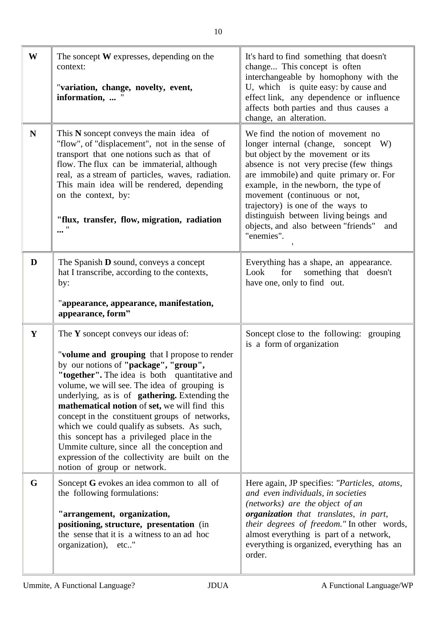| W           | The soncept W expresses, depending on the<br>context:<br>"variation, change, novelty, event,<br>information,                                                                                                                                                                                                                                                                                                                                                                                                                                                                                                                | It's hard to find something that doesn't<br>change This concept is often<br>interchangeable by homophony with the<br>U, which is quite easy: by cause and<br>effect link, any dependence or influence<br>affects both parties and thus causes a<br>change, an alteration.                                                                                                                                             |
|-------------|-----------------------------------------------------------------------------------------------------------------------------------------------------------------------------------------------------------------------------------------------------------------------------------------------------------------------------------------------------------------------------------------------------------------------------------------------------------------------------------------------------------------------------------------------------------------------------------------------------------------------------|-----------------------------------------------------------------------------------------------------------------------------------------------------------------------------------------------------------------------------------------------------------------------------------------------------------------------------------------------------------------------------------------------------------------------|
| $\mathbf N$ | This N soncept conveys the main idea of<br>"flow", of "displacement", not in the sense of<br>transport that one notions such as that of<br>flow. The flux can be immaterial, although<br>real, as a stream of particles, waves, radiation.<br>This main idea will be rendered, depending<br>on the context, by:<br>"flux, transfer, flow, migration, radiation<br>$\cdots$ "                                                                                                                                                                                                                                                | We find the notion of movement no<br>longer internal (change, soncept W)<br>but object by the movement or its<br>absence is not very precise (few things<br>are immobile) and quite primary or. For<br>example, in the newborn, the type of<br>movement (continuous or not,<br>trajectory) is one of the ways to<br>distinguish between living beings and<br>objects, and also between "friends"<br>and<br>"enemies". |
| D           | The Spanish <b>D</b> sound, conveys a concept<br>hat I transcribe, according to the contexts,<br>by:<br>"appearance, appearance, manifestation,<br>appearance, form"                                                                                                                                                                                                                                                                                                                                                                                                                                                        | Everything has a shape, an appearance.<br>Look<br>for<br>something that doesn't<br>have one, only to find out.                                                                                                                                                                                                                                                                                                        |
| Y           | The $Y$ soncept conveys our ideas of:<br>"volume and grouping that I propose to render<br>by our notions of "package", "group",<br>"together". The idea is both quantitative and<br>volume, we will see. The idea of grouping is<br>underlying, as is of <b>gathering</b> . Extending the<br>mathematical notion of set, we will find this<br>concept in the constituent groups of networks,<br>which we could qualify as subsets. As such,<br>this soncept has a privileged place in the<br>Ummite culture, since all the conception and<br>expression of the collectivity are built on the<br>notion of group or network. | Soncept close to the following: grouping<br>is a form of organization                                                                                                                                                                                                                                                                                                                                                 |
| G           | Soncept G evokes an idea common to all of<br>the following formulations:<br>"arrangement, organization,<br>positioning, structure, presentation (in<br>the sense that it is a witness to an ad hoc<br>organization), etc"                                                                                                                                                                                                                                                                                                                                                                                                   | Here again, JP specifies: "Particles, atoms,<br>and even individuals, in societies<br>(networks) are the object of an<br>organization that translates, in part,<br><i>their degrees of freedom."</i> In other words,<br>almost everything is part of a network,<br>everything is organized, everything has an<br>order.                                                                                               |

10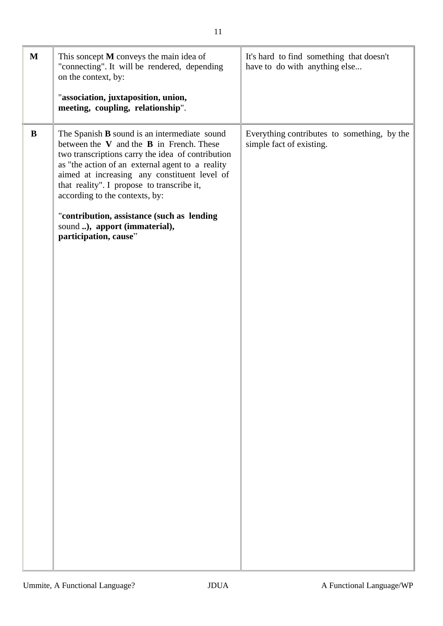| $\mathbf{M}$ | This soncept M conveys the main idea of<br>"connecting". It will be rendered, depending<br>on the context, by:<br>"association, juxtaposition, union,<br>meeting, coupling, relationship".                                                                                                                                                                                                                                                           | It's hard to find something that doesn't<br>have to do with anything else |
|--------------|------------------------------------------------------------------------------------------------------------------------------------------------------------------------------------------------------------------------------------------------------------------------------------------------------------------------------------------------------------------------------------------------------------------------------------------------------|---------------------------------------------------------------------------|
| B            | The Spanish <b>B</b> sound is an intermediate sound<br>between the $V$ and the $B$ in French. These<br>two transcriptions carry the idea of contribution<br>as "the action of an external agent to a reality<br>aimed at increasing any constituent level of<br>that reality". I propose to transcribe it,<br>according to the contexts, by:<br>"contribution, assistance (such as lending<br>sound ), apport (immaterial),<br>participation, cause" | Everything contributes to something, by the<br>simple fact of existing.   |
|              |                                                                                                                                                                                                                                                                                                                                                                                                                                                      |                                                                           |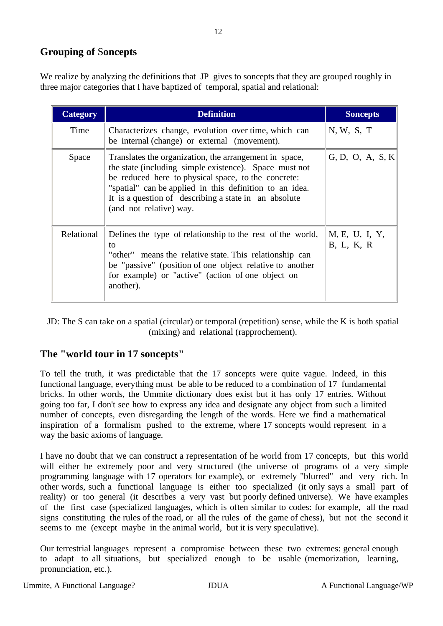## **Grouping of** S**oncepts**

We realize by analyzing the definitions that JP gives to soncepts that they are grouped roughly in three major categories that I have baptized of temporal, spatial and relational:

| <b>Category</b> | <b>Definition</b>                                                                                                                                                                                                                                                                                                      | <b>Soncepts</b>              |
|-----------------|------------------------------------------------------------------------------------------------------------------------------------------------------------------------------------------------------------------------------------------------------------------------------------------------------------------------|------------------------------|
| Time            | Characterizes change, evolution over time, which can<br>be internal (change) or external (movement).                                                                                                                                                                                                                   | N, W, S, T                   |
| Space           | Translates the organization, the arrangement in space,<br>the state (including simple existence). Space must not<br>be reduced here to physical space, to the concrete:<br>"spatial" can be applied in this definition to an idea.<br>It is a question of describing a state in an absolute<br>(and not relative) way. | G, D, O, A, S, K             |
| Relational      | Defines the type of relationship to the rest of the world,<br>to<br>"other" means the relative state. This relationship can<br>be "passive" (position of one object relative to another<br>for example) or "active" (action of one object on<br>another).                                                              | M, E, U, I, Y,<br>B, L, K, R |

JD: The S can take on a spatial (circular) or temporal (repetition) sense, while the K is both spatial (mixing) and relational (rapprochement).

## **The "world tour in 17 soncepts"**

To tell the truth, it was predictable that the 17 soncepts were quite vague. Indeed, in this functional language, everything must be able to be reduced to a combination of 17 fundamental bricks. In other words, the Ummite dictionary does exist but it has only 17 entries. Without going too far, I don't see how to express any idea and designate any object from such a limited number of concepts, even disregarding the length of the words. Here we find a mathematical inspiration of a formalism pushed to the extreme, where 17 soncepts would represent in a way the basic axioms of language.

I have no doubt that we can construct a representation of he world from 17 concepts, but this world will either be extremely poor and very structured (the universe of programs of a very simple programming language with 17 operators for example), or extremely "blurred" and very rich. In other words, such a functional language is either too specialized (it only says a small part of reality) or too general (it describes a very vast but poorly defined universe). We have examples of the first case (specialized languages, which is often similar to codes: for example, all the road signs constituting the rules of the road, or all the rules of the game of chess), but not the second it seems to me (except maybe in the animal world, but it is very speculative).

Our terrestrial languages represent a compromise between these two extremes: general enough to adapt to all situations, but specialized enough to be usable (memorization, learning, pronunciation, etc.).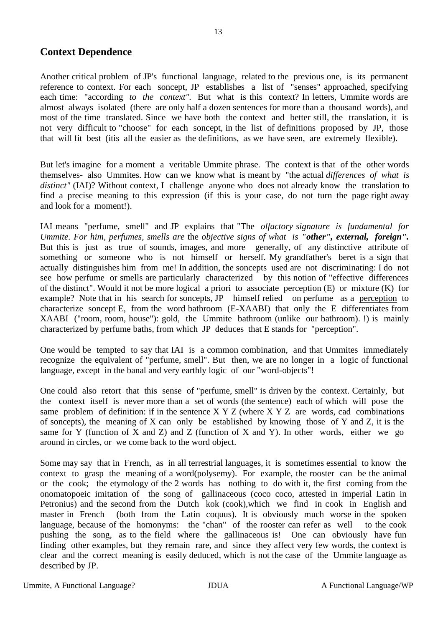### **Context Dependence**

Another critical problem of JP's functional language, related to the previous one, is its permanent reference to context. For each soncept, JP establishes a list of "senses" approached, specifying each time: "according *to the context".* But what is this context? In letters, Ummite words are almost always isolated (there are only half a dozen sentences for more than a thousand words), and most of the time translated. Since we have both the context and better still, the translation, it is not very difficult to "choose" for each soncept, in the list of definitions proposed by JP, those that will fit best (itis all the easier as the definitions, as we have seen, are extremely flexible).

But let's imagine for a moment a veritable Ummite phrase. The context is that of the other words themselves- also Ummites. How can we know what is meant by "the actual *differences of what is* distinct" (IAI)? Without context, I challenge anyone who does not already know the translation to find a precise meaning to this expression (if this is your case, do not turn the page right away and look for a moment!).

IAI means "perfume, smell" and JP explains that "The *olfactory signature is fundamental for Ummite. For him, perfumes, smells are* the *objective signs of what is "other", external, foreign".*  But this is just as true of sounds, images, and more generally, of any distinctive attribute of something or someone who is not himself or herself. My grandfather's beret is a sign that actually distinguishes him from me! In addition, the soncepts used are not discriminating: I do not see how perfume or smells are particularly characterized by this notion of "effective differences of the distinct". Would it not be more logical a priori to associate perception (E) or mixture (K) for example? Note that in his search for soncepts, JP himself relied on perfume as a perception to characterize soncept E, from the word bathroom (E-XAABI) that only the E differentiates from XAABI ("room, room, house"): gold, the Ummite bathroom (unlike our bathroom). !) is mainly characterized by perfume baths, from which JP deduces that E stands for "perception".

One would be tempted to say that IAI is a common combination, and that Ummites immediately recognize the equivalent of "perfume, smell". But then, we are no longer in a logic of functional language, except in the banal and very earthly logic of our "word-objects"!

One could also retort that this sense of "perfume, smell" is driven by the context. Certainly, but the context itself is never more than a set of words (the sentence) each of which will pose the same problem of definition: if in the sentence  $X$  Y  $Z$  (where  $X$  Y  $Z$  are words, cad combinations of soncepts), the meaning of  $X$  can only be established by knowing those of  $Y$  and  $Z$ , it is the same for Y (function of X and Z) and Z (function of X and Y). In other words, either we go around in circles, or we come back to the word object.

Some may say that in French, as in all terrestrial languages, it is sometimes essential to know the context to grasp the meaning of a word(polysemy). For example, the rooster can be the animal or the cook; the etymology of the 2 words has nothing to do with it, the first coming from the onomatopoeic imitation of the song of gallinaceous (coco coco, attested in imperial Latin in Petronius) and the second from the Dutch kok (cook),which we find in cook in English and master in French (both from the Latin coquus). It is obviously much worse in the spoken language, because of the homonyms: the "chan" of the rooster can refer as well to the cook pushing the song, as to the field where the gallinaceous is! One can obviously have fun finding other examples, but they remain rare, and since they affect very few words, the context is clear and the correct meaning is easily deduced, which is not the case of the Ummite language as described by JP.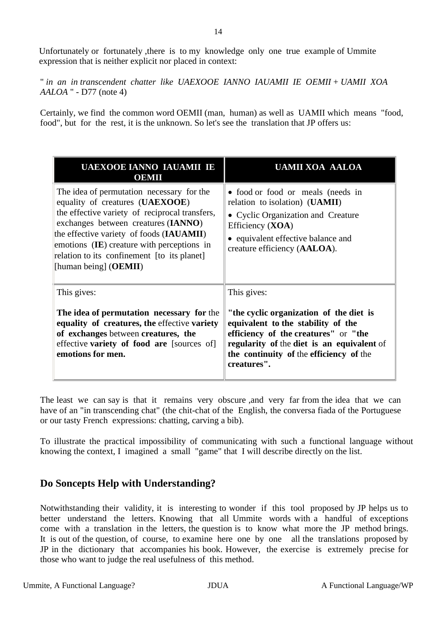Unfortunately or fortunately ,there is to my knowledge only one true example of Ummite expression that is neither explicit nor placed in context:

" *in an in transcendent chatter like UAEXOOE IANNO IAUAMII IE OEMII* + *UAMII XOA AALOA* " - D77 (note 4)

Certainly, we find the common word OEMII (man, human) as well as UAMII which means "food, food", but for the rest, it is the unknown. So let's see the translation that JP offers us:

| <b>UAEXOOE IANNO IAUAMII IE</b><br><b>OEMII</b>                                                                                                                                                                                                                                                                                           | <b>UAMII XOA AALOA</b>                                                                                                                                                                                                                       |
|-------------------------------------------------------------------------------------------------------------------------------------------------------------------------------------------------------------------------------------------------------------------------------------------------------------------------------------------|----------------------------------------------------------------------------------------------------------------------------------------------------------------------------------------------------------------------------------------------|
| The idea of permutation necessary for the<br>equality of creatures (UAEXOOE)<br>the effective variety of reciprocal transfers,<br>exchanges between creatures (IANNO)<br>the effective variety of foods (IAUAMII)<br>emotions $(IE)$ creature with perceptions in<br>relation to its confinement [to its planet]<br>[human being] (OEMII) | • food or food or meals (needs in<br>relation to isolation) (UAMII)<br>• Cyclic Organization and Creature<br>Efficiency $(XOA)$<br>• equivalent effective balance and<br>creature efficiency (AALOA).                                        |
| This gives:<br>The idea of permutation necessary for the<br>equality of creatures, the effective variety<br>of exchanges between creatures, the<br>effective <b>variety</b> of food are [sources of]<br>emotions for men.                                                                                                                 | This gives:<br>"the cyclic organization of the diet is<br>equivalent to the stability of the<br>efficiency of the creatures" or "the<br>regularity of the diet is an equivalent of<br>the continuity of the efficiency of the<br>creatures". |

The least we can say is that it remains very obscure ,and very far from the idea that we can have of an "in transcending chat" (the chit-chat of the English, the conversa fiada of the Portuguese or our tasty French expressions: chatting, carving a bib).

To illustrate the practical impossibility of communicating with such a functional language without knowing the context, I imagined a small "game" that I will describe directly on the list.

## **Do Soncepts Help with Understanding?**

Notwithstanding their validity, it is interesting to wonder if this tool proposed by JP helps us to better understand the letters. Knowing that all Ummite words with a handful of exceptions come with a translation in the letters, the question is to know what more the JP method brings. It is out of the question, of course, to examine here one by one all the translations proposed by JP in the dictionary that accompanies his book. However, the exercise is extremely precise for those who want to judge the real usefulness of this method.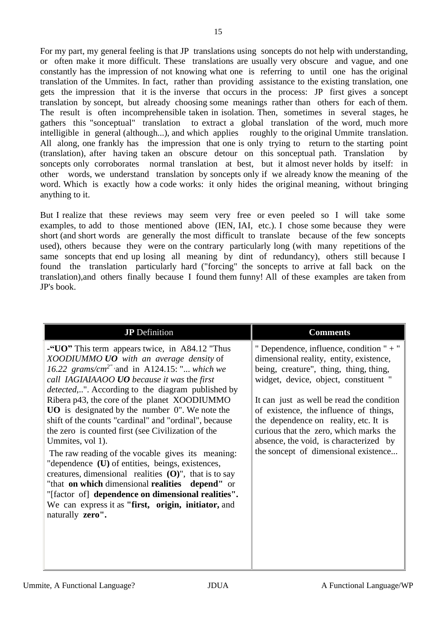For my part, my general feeling is that JP translations using soncepts do not help with understanding, or often make it more difficult. These translations are usually very obscure and vague, and one constantly has the impression of not knowing what one is referring to until one has the original translation of the Ummites. In fact, rather than providing assistance to the existing translation, one gets the impression that it is the inverse that occurs in the process: JP first gives a soncept translation by soncept, but already choosing some meanings rather than others for each of them. The result is often incomprehensible taken in isolation. Then, sometimes in several stages, he gathers this "sonceptual" translation to extract a global translation of the word, much more intelligible in general (although...), and which applies roughly to the original Ummite translation. All along, one frankly has the impression that one is only trying to return to the starting point (translation), after having taken an obscure detour on this sonceptual path. Translation by soncepts only corroborates normal translation at best, but it almost never holds by itself: in other words, we understand translation by soncepts only if we already know the meaning of the word. Which is exactly how a code works: it only hides the original meaning, without bringing anything to it.

But I realize that these reviews may seem very free or even peeled so I will take some examples, to add to those mentioned above (IEN, IAI, etc.). I chose some because they were short (and short words are generally the most difficult to translate because of the few soncepts used), others because they were on the contrary particularly long (with many repetitions of the same soncepts that end up losing all meaning by dint of redundancy), others still because I found the translation particularly hard ("forcing" the soncepts to arrive at fall back on the translation),and others finally because I found them funny! All of these examples are taken from JP's book.

| <b>JP</b> Definition                                                                                                                                                                                                                                                                                                                                                                                                                                                                                                                                                                                                                                                                                                                                                                                                                                                                        | <b>Comments</b>                                                                                                                                                                                                                                                                                                                                                                                                                      |
|---------------------------------------------------------------------------------------------------------------------------------------------------------------------------------------------------------------------------------------------------------------------------------------------------------------------------------------------------------------------------------------------------------------------------------------------------------------------------------------------------------------------------------------------------------------------------------------------------------------------------------------------------------------------------------------------------------------------------------------------------------------------------------------------------------------------------------------------------------------------------------------------|--------------------------------------------------------------------------------------------------------------------------------------------------------------------------------------------------------------------------------------------------------------------------------------------------------------------------------------------------------------------------------------------------------------------------------------|
| -" $UO$ " This term appears twice, in A84.12 "Thus<br>XOODIUMMO UO with an average density of<br>16.22 grams/cm <sup>2"</sup> and in A124.15: " which we<br>call IAGIAIAAOO UO because it was the first<br><i>detected</i> ,". According to the diagram published by<br>Ribera p43, the core of the planet XOODIUMMO<br><b>UO</b> is designated by the number $0$ ". We note the<br>shift of the counts "cardinal" and "ordinal", because<br>the zero is counted first (see Civilization of the<br>Ummites, vol 1).<br>The raw reading of the vocable gives its meaning:<br>"dependence (U) of entities, beings, existences,<br>creatures, dimensional realities $(O)$ ", that is to say<br>"that <b>on which</b> dimensional <b>realities depend</b> " or<br>"[factor of] dependence on dimensional realities".<br>We can express it as "first, origin, initiator, and<br>naturally zero". | " Dependence, influence, condition " $+$ "<br>dimensional reality, entity, existence,<br>being, creature", thing, thing, thing,<br>widget, device, object, constituent "<br>It can just as well be read the condition<br>of existence, the influence of things,<br>the dependence on reality, etc. It is<br>curious that the zero, which marks the<br>absence, the void, is characterized by<br>the soncept of dimensional existence |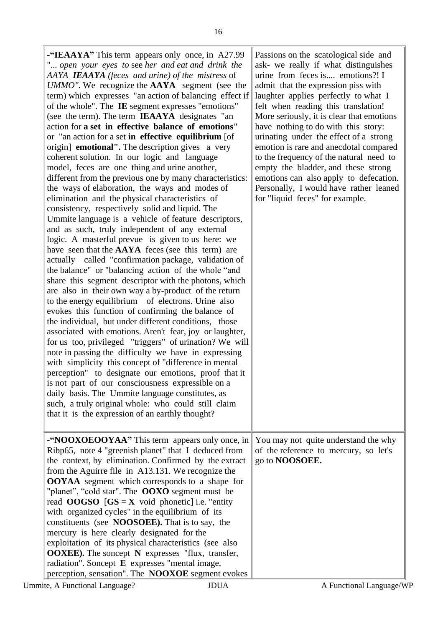| <b>-"IEAAYA"</b> This term appears only once, in A27.99<br>" open your eyes to see her and eat and drink the<br>AAYA IEAAYA (feces and urine) of the mistress of<br>UMMO". We recognize the AAYA segment (see the<br>term) which expresses "an action of balancing effect if<br>of the whole". The IE segment expresses "emotions"<br>(see the term). The term <b>IEAAYA</b> designates "an<br>action for a set in effective balance of emotions"<br>or "an action for a set in effective equilibrium [of<br>origin] emotional". The description gives a very<br>coherent solution. In our logic and language<br>model, feces are one thing and urine another,<br>different from the previous one by many characteristics:<br>the ways of elaboration, the ways and modes of<br>elimination and the physical characteristics of<br>consistency, respectively solid and liquid. The<br>Ummite language is a vehicle of feature descriptors,<br>and as such, truly independent of any external<br>logic. A masterful prevue is given to us here: we<br>have seen that the <b>AAYA</b> feces (see this term) are<br>actually called "confirmation package, validation of<br>the balance" or "balancing action of the whole "and<br>share this segment descriptor with the photons, which<br>are also in their own way a by-product of the return<br>to the energy equilibrium of electrons. Urine also<br>evokes this function of confirming the balance of<br>the individual, but under different conditions, those<br>associated with emotions. Aren't fear, joy or laughter,<br>for us too, privileged "triggers" of urination? We will<br>note in passing the difficulty we have in expressing<br>with simplicity this concept of "difference in mental"<br>perception" to designate our emotions, proof that it<br>is not part of our consciousness expressible on a<br>daily basis. The Ummite language constitutes, as<br>such, a truly original whole: who could still claim<br>that it is the expression of an earthly thought? | Passions on the scatological side and<br>ask- we really if what distinguishes<br>urine from feces is emotions?! I<br>admit that the expression piss with<br>laughter applies perfectly to what I<br>felt when reading this translation!<br>More seriously, it is clear that emotions<br>have nothing to do with this story:<br>urinating under the effect of a strong<br>emotion is rare and anecdotal compared<br>to the frequency of the natural need to<br>empty the bladder, and these strong<br>emotions can also apply to defecation.<br>Personally, I would have rather leaned<br>for "liquid feces" for example. |
|---------------------------------------------------------------------------------------------------------------------------------------------------------------------------------------------------------------------------------------------------------------------------------------------------------------------------------------------------------------------------------------------------------------------------------------------------------------------------------------------------------------------------------------------------------------------------------------------------------------------------------------------------------------------------------------------------------------------------------------------------------------------------------------------------------------------------------------------------------------------------------------------------------------------------------------------------------------------------------------------------------------------------------------------------------------------------------------------------------------------------------------------------------------------------------------------------------------------------------------------------------------------------------------------------------------------------------------------------------------------------------------------------------------------------------------------------------------------------------------------------------------------------------------------------------------------------------------------------------------------------------------------------------------------------------------------------------------------------------------------------------------------------------------------------------------------------------------------------------------------------------------------------------------------------------------------------------------------------------------------------------------------------------------|--------------------------------------------------------------------------------------------------------------------------------------------------------------------------------------------------------------------------------------------------------------------------------------------------------------------------------------------------------------------------------------------------------------------------------------------------------------------------------------------------------------------------------------------------------------------------------------------------------------------------|
| <b>-"NOOXOEOOYAA"</b> This term appears only once, in<br>Ribp65, note 4 "greenish planet" that I deduced from<br>the context, by elimination. Confirmed by the extract<br>from the Aguirre file in A13.131. We recognize the<br><b>OOYAA</b> segment which corresponds to a shape for<br>"planet", "cold star". The <b>OOXO</b> segment must be<br>read <b>OOGSO</b> $[GS = X$ void phonetic] i.e. "entity<br>with organized cycles" in the equilibrium of its<br>constituents (see <b>NOOSOEE</b> ). That is to say, the<br>mercury is here clearly designated for the<br>exploitation of its physical characteristics (see also<br><b>OOXEE</b> ). The soncept N expresses "flux, transfer,<br>radiation". Soncept E expresses "mental image,<br>perception, sensation". The NOOXOE segment evokes                                                                                                                                                                                                                                                                                                                                                                                                                                                                                                                                                                                                                                                                                                                                                                                                                                                                                                                                                                                                                                                                                                                                                                                                                                  | You may not quite understand the why<br>of the reference to mercury, so let's<br>go to <b>NOOSOEE</b> .                                                                                                                                                                                                                                                                                                                                                                                                                                                                                                                  |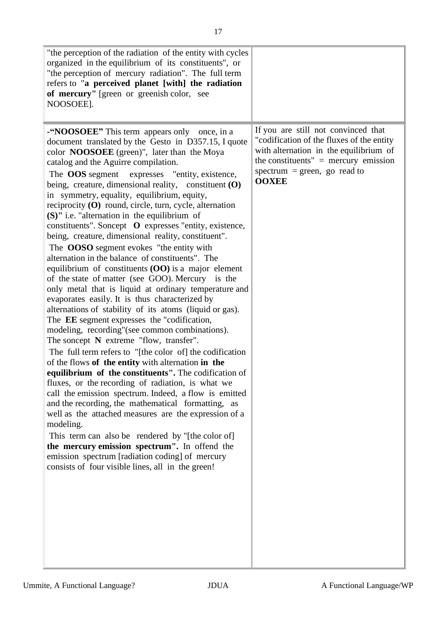| "the perception of the radiation of the entity with cycles"<br>organized in the equilibrium of its constituents", or<br>"the perception of mercury radiation". The full term<br>refers to "a perceived planet [with] the radiation<br>of mercury" [green or greenish color, see<br>NOOSOEE].                                                                                                                                                                                                                                                                                                                                                                                                                                                                                                                                                                                                                                                                                                                                                                                                                                                                                                                                                                                                                                                                                                                                                                                                                                                                                                                                                                                                                                                                           |                                                                                                                                                                                                                        |
|------------------------------------------------------------------------------------------------------------------------------------------------------------------------------------------------------------------------------------------------------------------------------------------------------------------------------------------------------------------------------------------------------------------------------------------------------------------------------------------------------------------------------------------------------------------------------------------------------------------------------------------------------------------------------------------------------------------------------------------------------------------------------------------------------------------------------------------------------------------------------------------------------------------------------------------------------------------------------------------------------------------------------------------------------------------------------------------------------------------------------------------------------------------------------------------------------------------------------------------------------------------------------------------------------------------------------------------------------------------------------------------------------------------------------------------------------------------------------------------------------------------------------------------------------------------------------------------------------------------------------------------------------------------------------------------------------------------------------------------------------------------------|------------------------------------------------------------------------------------------------------------------------------------------------------------------------------------------------------------------------|
| -"NOOSOEE" This term appears only once, in a<br>document translated by the Gesto in D357.15, I quote<br>color <b>NOOSOEE</b> (green)", later than the Moya<br>catalog and the Aguirre compilation.<br>The <b>OOS</b> segment<br>expresses "entity, existence,<br>being, creature, dimensional reality, constituent (O)<br>in symmetry, equality, equilibrium, equity,<br>reciprocity (O) round, circle, turn, cycle, alternation<br>$(S)$ " i.e. "alternation in the equilibrium of<br>constituents". Soncept O expresses "entity, existence,<br>being, creature, dimensional reality, constituent".<br>The OOSO segment evokes "the entity with<br>alternation in the balance of constituents". The<br>equilibrium of constituents $(OO)$ is a major element<br>of the state of matter (see GOO). Mercury is the<br>only metal that is liquid at ordinary temperature and<br>evaporates easily. It is thus characterized by<br>alternations of stability of its atoms (liquid or gas).<br>The EE segment expresses the "codification,<br>modeling, recording"(see common combinations).<br>The soncept N extreme "flow, transfer".<br>The full term refers to "[the color of] the codification<br>of the flows of the entity with alternation in the<br>equilibrium of the constituents". The codification of<br>fluxes, or the recording of radiation, is what we<br>call the emission spectrum. Indeed, a flow is emitted<br>and the recording, the mathematical formatting, as<br>well as the attached measures are the expression of a<br>modeling.<br>This term can also be rendered by "[the color of]<br>the mercury emission spectrum". In offend the<br>emission spectrum [radiation coding] of mercury<br>consists of four visible lines, all in the green! | If you are still not convinced that<br>"codification of the fluxes of the entity"<br>with alternation in the equilibrium of<br>the constituents" = mercury emission<br>spectrum = $green$ , go read to<br><b>OOXEE</b> |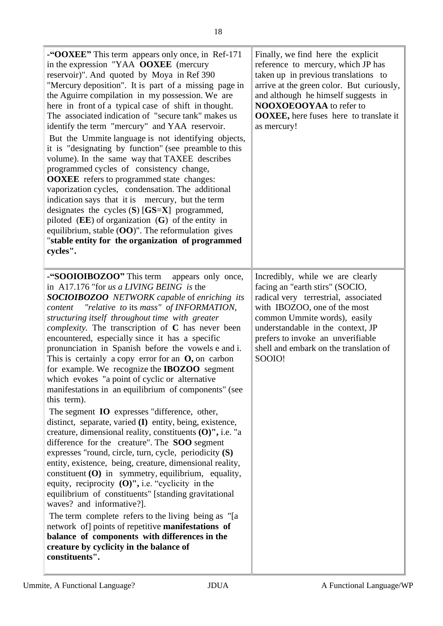| -"OOXEE" This term appears only once, in Ref-171<br>in the expression "YAA OOXEE (mercury<br>reservoir)". And quoted by Moya in Ref 390<br>"Mercury deposition". It is part of a missing page in<br>the Aguirre compilation in my possession. We are<br>here in front of a typical case of shift in thought.<br>The associated indication of "secure tank" makes us<br>identify the term "mercury" and YAA reservoir.<br>But the Ummite language is not identifying objects,<br>it is "designating by function" (see preamble to this<br>volume). In the same way that TAXEE describes<br>programmed cycles of consistency change,<br><b>OOXEE</b> refers to programmed state changes:<br>vaporization cycles, condensation. The additional<br>indication says that it is mercury, but the term<br>designates the cycles $(S)$ [GS=X] programmed,<br>piloted $(EE)$ of organization $(G)$ of the entity in<br>equilibrium, stable $(OO)$ ". The reformulation gives<br>"stable entity for the organization of programmed<br>cycles".                                                                                                                                                                                                                                                                                                                                                                                                                                  | Finally, we find here the explicit<br>reference to mercury, which JP has<br>taken up in previous translations to<br>arrive at the green color. But curiously,<br>and although he himself suggests in<br><b>NOOXOEOOYAA</b> to refer to<br><b>OOXEE</b> , here fuses here to translate it<br>as mercury!   |
|-----------------------------------------------------------------------------------------------------------------------------------------------------------------------------------------------------------------------------------------------------------------------------------------------------------------------------------------------------------------------------------------------------------------------------------------------------------------------------------------------------------------------------------------------------------------------------------------------------------------------------------------------------------------------------------------------------------------------------------------------------------------------------------------------------------------------------------------------------------------------------------------------------------------------------------------------------------------------------------------------------------------------------------------------------------------------------------------------------------------------------------------------------------------------------------------------------------------------------------------------------------------------------------------------------------------------------------------------------------------------------------------------------------------------------------------------------------------------|-----------------------------------------------------------------------------------------------------------------------------------------------------------------------------------------------------------------------------------------------------------------------------------------------------------|
| <b>-"SOOIOIBOZOO"</b> This term appears only once,<br>in A17.176 "for us a LIVING BEING is the<br><b>SOCIOIBOZOO</b> NETWORK capable of enriching its<br>content "relative to its mass" of INFORMATION,<br>structuring itself throughout time with greater<br><i>complexity</i> . The transcription of $C$ has never been<br>encountered, especially since it has a specific<br>pronunciation in Spanish before the vowels e and i.<br>This is certainly a copy error for an $O$ , on carbon<br>for example. We recognize the IBOZOO segment<br>which evokes "a point of cyclic or alternative<br>manifestations in an equilibrium of components" (see<br>this term).<br>The segment <b>IO</b> expresses "difference, other,<br>distinct, separate, varied (I) entity, being, existence,<br>creature, dimensional reality, constituents $(0)$ ", i.e. "a<br>difference for the creature". The <b>SOO</b> segment<br>expresses "round, circle, turn, cycle, periodicity (S)<br>entity, existence, being, creature, dimensional reality,<br>constituent $(O)$ in symmetry, equilibrium, equality,<br>equity, reciprocity $(O)$ ", i.e. "cyclicity in the<br>equilibrium of constituents" [standing gravitational<br>waves? and informative?].<br>The term complete refers to the living being as "[a<br>network of points of repetitive manifestations of<br>balance of components with differences in the<br>creature by cyclicity in the balance of<br>constituents". | Incredibly, while we are clearly<br>facing an "earth stirs" (SOCIO,<br>radical very terrestrial, associated<br>with IBOZOO, one of the most<br>common Ummite words), easily<br>understandable in the context, JP<br>prefers to invoke an unverifiable<br>shell and embark on the translation of<br>SOOIO! |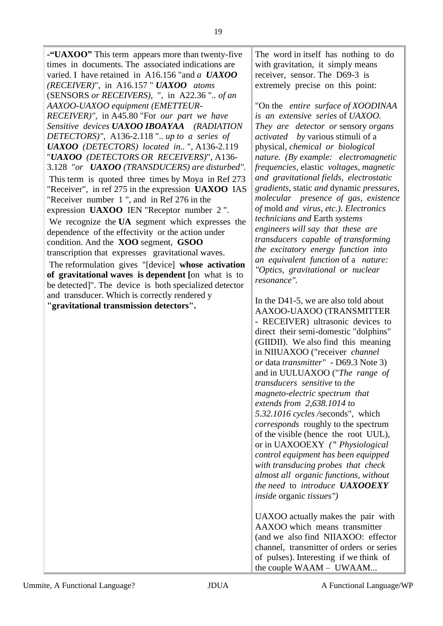| <b>-"UAXOO"</b> This term appears more than twenty-five<br>times in documents. The associated indications are<br>varied. I have retained in A16.156 "and a UAXOO"<br>(RECEIVER)", in A16.157 " UAXOO atoms<br>(SENSORS or RECEIVERS), ", in A22.36" of an<br>AAXOO-UAXOO equipment (EMETTEUR-<br>RECEIVER)", in A45.80 "For our part we have<br>Sensitive devices <b>UAXOO IBOAYAA</b> (RADIATION<br>DETECTORS)", A136-2.118" up to a series of<br>UAXOO (DETECTORS) located in", A136-2.119<br>"UAXOO (DETECTORS OR RECEIVERS)", A136-<br>3.128 "or <b>UAXOO</b> (TRANSDUCERS) are disturbed".<br>This term is quoted three times by Moya in Ref 273<br>"Receiver", in ref 275 in the expression UAXOO IAS<br>"Receiver number 1", and in Ref 276 in the<br>expression <b>UAXOO</b> IEN "Receptor number 2".<br>We recognize the UA segment which expresses the<br>dependence of the effectivity or the action under<br>condition. And the XOO segment, GSOO<br>transcription that expresses gravitational waves.<br>The reformulation gives "[device] whose activation<br>of gravitational waves is dependent [on what is to<br>be detected]". The device is both specialized detector<br>and transducer. Which is correctly rendered y<br>"gravitational transmission detectors". | The word in itself has nothing to do<br>with gravitation, it simply means<br>receiver, sensor. The D69-3 is<br>extremely precise on this point:<br>"On the entire surface of XOODINAA<br>is an extensive series of UAXOO.<br>They are detector or sensory organs<br><i>activated</i> by various stimuli of a<br>physical, <i>chemical or biological</i><br>nature. (By example: electromagnetic<br>frequencies, elastic voltages, magnetic<br>and gravitational fields, electrostatic<br>gradients, static and dynamic pressures,<br>molecular presence of gas, existence<br>of mold and virus, etc.). Electronics<br>technicians and Earth systems<br>engineers will say that these are<br>transducers capable of transforming<br>the excitatory energy function into<br>an equivalent function of a nature:<br>"Optics, gravitational or nuclear<br>resonance".<br>In the D41-5, we are also told about |
|--------------------------------------------------------------------------------------------------------------------------------------------------------------------------------------------------------------------------------------------------------------------------------------------------------------------------------------------------------------------------------------------------------------------------------------------------------------------------------------------------------------------------------------------------------------------------------------------------------------------------------------------------------------------------------------------------------------------------------------------------------------------------------------------------------------------------------------------------------------------------------------------------------------------------------------------------------------------------------------------------------------------------------------------------------------------------------------------------------------------------------------------------------------------------------------------------------------------------------------------------------------------------------------|-----------------------------------------------------------------------------------------------------------------------------------------------------------------------------------------------------------------------------------------------------------------------------------------------------------------------------------------------------------------------------------------------------------------------------------------------------------------------------------------------------------------------------------------------------------------------------------------------------------------------------------------------------------------------------------------------------------------------------------------------------------------------------------------------------------------------------------------------------------------------------------------------------------|
|                                                                                                                                                                                                                                                                                                                                                                                                                                                                                                                                                                                                                                                                                                                                                                                                                                                                                                                                                                                                                                                                                                                                                                                                                                                                                      | AAXOO-UAXOO (TRANSMITTER<br>- RECEIVER) ultrasonic devices to<br>direct their semi-domestic "dolphins"<br>(GIIDII). We also find this meaning<br>in NIIUAXOO ("receiver channel<br>or data transmitter" - D69.3 Note 3)<br>and in UULUAXOO ("The range of<br><i>transducers sensitive to the</i><br>magneto-electric spectrum that<br>extends from 2,638.1014 to<br>5.32.1016 cycles /seconds", which<br><i>corresponds</i> roughly to the spectrum<br>of the visible (hence the root UUL),<br>or in UAXOOEXY ("Physiological<br>control equipment has been equipped<br>with transducing probes that check<br>almost all organic functions, without<br>the need to introduce UAXOOEXY<br><i>inside</i> organic <i>tissues"</i> )                                                                                                                                                                          |

UAXOO actually makes the pair with AAXOO which means transmitter (and we also find NIIAXOO: effector channel, transmitter of orders or series of pulses). Interesting if we think of the couple WAAM – UWAAM...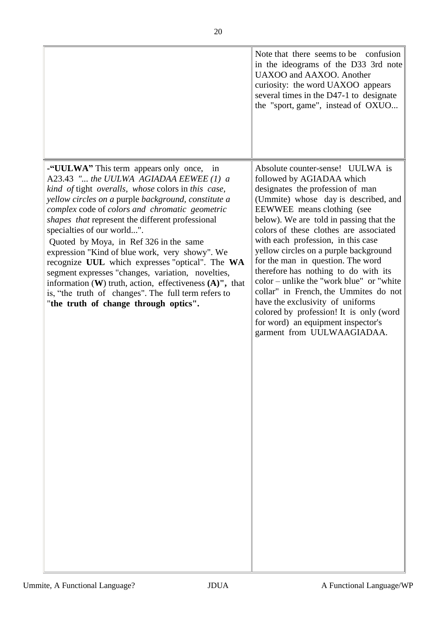|                                                                                                                                                                                                                                                                                                                                                                                                                                                                                                                                                                                                                                                                                                    | Note that there seems to be confusion<br>in the ideograms of the D33 3rd note<br>UAXOO and AAXOO. Another<br>curiosity: the word UAXOO appears<br>several times in the D47-1 to designate<br>the "sport, game", instead of OXUO                                                                                                                                                                                                                                                                                                                                                                                                                                   |
|----------------------------------------------------------------------------------------------------------------------------------------------------------------------------------------------------------------------------------------------------------------------------------------------------------------------------------------------------------------------------------------------------------------------------------------------------------------------------------------------------------------------------------------------------------------------------------------------------------------------------------------------------------------------------------------------------|-------------------------------------------------------------------------------------------------------------------------------------------------------------------------------------------------------------------------------------------------------------------------------------------------------------------------------------------------------------------------------------------------------------------------------------------------------------------------------------------------------------------------------------------------------------------------------------------------------------------------------------------------------------------|
| -"UULWA" This term appears only once, in<br>A23.43 " the UULWA AGIADAA EEWEE (1) a<br>kind of tight overalls, whose colors in this case,<br>yellow circles on a purple background, constitute a<br>complex code of colors and chromatic geometric<br>shapes that represent the different professional<br>specialties of our world".<br>Quoted by Moya, in Ref 326 in the same<br>expression "Kind of blue work, very showy". We<br>recognize UUL which expresses "optical". The WA<br>segment expresses "changes, variation, novelties,<br>information (W) truth, action, effectiveness (A)", that<br>is, "the truth of changes". The full term refers to<br>"the truth of change through optics". | Absolute counter-sense! UULWA is<br>followed by AGIADAA which<br>designates the profession of man<br>(Ummite) whose day is described, and<br>EEWWEE means clothing (see<br>below). We are told in passing that the<br>colors of these clothes are associated<br>with each profession, in this case<br>yellow circles on a purple background<br>for the man in question. The word<br>therefore has nothing to do with its<br>color – unlike the "work blue" or "white"<br>collar" in French, the Ummites do not<br>have the exclusivity of uniforms<br>colored by profession! It is only (word<br>for word) an equipment inspector's<br>garment from UULWAAGIADAA. |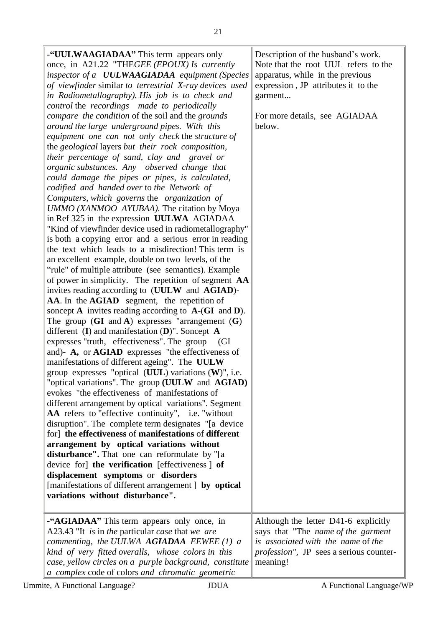| -"UULWAAGIADAA" This term appears only<br>once, in A21.22 "THEGEE (EPOUX) Is currently<br>inspector of a <b>UULWAAGIADAA</b> equipment (Species<br>of viewfinder similar to terrestrial X-ray devices used<br>in Radiometallography). His job is to check and<br>control the recordings made to periodically<br>compare the condition of the soil and the grounds<br>around the large underground pipes. With this<br>equipment one can not only check the structure of<br>the geological layers but their rock composition,<br>their percentage of sand, clay and gravel or<br>organic substances. Any observed change that<br>could damage the pipes or pipes, is calculated,<br>codified and handed over to the Network of<br>Computers, which governs the organization of<br>UMMO (XANMOO AYUBAA). The citation by Moya<br>in Ref 325 in the expression UULWA AGIADAA<br>"Kind of viewfinder device used in radiometallography"<br>is both a copying error and a serious error in reading<br>the text which leads to a misdirection! This term is<br>an excellent example, double on two levels, of the<br>"rule" of multiple attribute (see semantics). Example<br>of power in simplicity. The repetition of segment AA<br>invites reading according to (UULW and AGIAD)-<br>AA. In the AGIAD segment, the repetition of<br>soncept $A$ invites reading according to $A$ -(GI and D).<br>The group $(GI \text{ and } A)$ expresses "arrangement $(G)$<br>different (I) and manifestation $(D)$ ". Soncept $A$<br>expresses "truth, effectiveness". The group<br>(GI<br>and)- A, or AGIAD expresses "the effectiveness of<br>manifestations of different ageing". The UULW<br>group expresses "optical $(UUL)$ variations $(W)$ ", i.e.<br>"optical variations". The group (UULW and AGIAD)<br>evokes "the effectiveness of manifestations of<br>different arrangement by optical variations". Segment<br>AA refers to "effective continuity", i.e. "without<br>disruption". The complete term designates "[a device<br>for] the effectiveness of manifestations of different<br>arrangement by optical variations without<br>disturbance". That one can reformulate by "[a<br>device for] the verification [effectiveness ] of<br>displacement symptoms or disorders<br>[manifestations of different arrangement ] by optical<br>variations without disturbance". | Description of the husband's work.<br>Note that the root UUL refers to the<br>apparatus, while in the previous<br>expression, JP attributes it to the<br>garment<br>For more details, see AGIADAA<br>below. |
|------------------------------------------------------------------------------------------------------------------------------------------------------------------------------------------------------------------------------------------------------------------------------------------------------------------------------------------------------------------------------------------------------------------------------------------------------------------------------------------------------------------------------------------------------------------------------------------------------------------------------------------------------------------------------------------------------------------------------------------------------------------------------------------------------------------------------------------------------------------------------------------------------------------------------------------------------------------------------------------------------------------------------------------------------------------------------------------------------------------------------------------------------------------------------------------------------------------------------------------------------------------------------------------------------------------------------------------------------------------------------------------------------------------------------------------------------------------------------------------------------------------------------------------------------------------------------------------------------------------------------------------------------------------------------------------------------------------------------------------------------------------------------------------------------------------------------------------------------------------------------------------------------------------------------------------------------------------------------------------------------------------------------------------------------------------------------------------------------------------------------------------------------------------------------------------------------------------------------------------------------------------------------------------------------------------------------------------------------------------------|-------------------------------------------------------------------------------------------------------------------------------------------------------------------------------------------------------------|
| -"AGIADAA" This term appears only once, in<br>A23.43 "It is in the particular case that we are<br>commenting, the UULWA $AGIADAA$ EEWEE (1) a<br>kind of very fitted overalls, whose colors in this<br>case, yellow circles on a purple background, constitute<br>a complex code of colors and chromatic geometric                                                                                                                                                                                                                                                                                                                                                                                                                                                                                                                                                                                                                                                                                                                                                                                                                                                                                                                                                                                                                                                                                                                                                                                                                                                                                                                                                                                                                                                                                                                                                                                                                                                                                                                                                                                                                                                                                                                                                                                                                                                     | Although the letter D41-6 explicitly<br>says that "The name of the garment<br>is associated with the name of the<br><i>profession"</i> , JP sees a serious counter-<br>meaning!                             |

21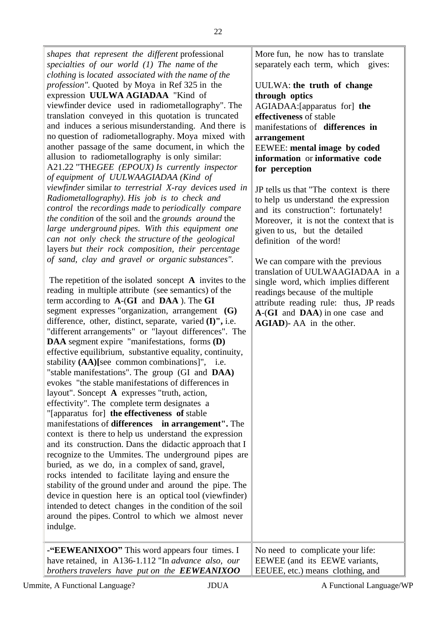*shapes that represent the different* professional *specialties of our world (1) The name* of *the clothing* is *located associated with the name of the profession".* Quoted by Moya in Ref 325 in the expression **UULWA AGIADAA** "Kind of viewfinder device used in radiometallography". The translation conveyed in this quotation is truncated and induces a serious misunderstanding. And there is no question of radiometallography. Moya mixed with another passage of the same document, in which the allusion to radiometallography is only similar: A21.22 "THE*GEE (EPOUX) Is currently inspector of equipment of UULWAAGIADAA (Kind of viewfinder* similar *to terrestrial X-ray devices used in Radiometallography). His job is to check and control* the *recordings made* to *periodically compare the condition* of the soil and the *grounds around* the *large underground pipes. With this equipment one can not only check the structure of the geological* layers *but their rock composition, their percentage of sand, clay and gravel or organic substances".*

The repetition of the isolated soncept **A** invites to the reading in multiple attribute (see semantics) of the term according to **A**-(**GI** and **DAA** ). The **GI**  segment expresses "organization, arrangement **(G)** difference, other, distinct, separate, varied **(I)",** i.e. "different arrangements" or "layout differences". The **DAA** segment expire "manifestations, forms **(D)** effective equilibrium, substantive equality, continuity, stability **(AA)[**see common combinations]", i.e. "stable manifestations". The group (GI and **DAA)** evokes "the stable manifestations of differences in layout". Soncept **A** expresses "truth, action, effectivity". The complete term designates a "[apparatus for] **the effectiveness of** stable manifestations of **differences in arrangement".** The context is there to help us understand the expression and its construction. Dans the didactic approach that I recognize to the Ummites. The underground pipes are buried, as we do, in a complex of sand, gravel, rocks intended to facilitate laying and ensure the stability of the ground under and around the pipe. The device in question here is an optical tool (viewfinder) intended to detect changes in the condition of the soil around the pipes. Control to which we almost never indulge. readings because of the multiple **AGIAD**)- AA in the other. **-"EEWEANIXOO"** This word appears four times. I have retained, in A136-1.112 "In *advance also, our brothers travelers have put on the EEWEANIXOO*  No need to complicate your life: EEWEE (and its EEWE variants, EEUEE, etc.) means clothing, and

manifestations of **differences in arrangement**

**effectiveness** of stable

**through optics**

EEWEE: **mental image by coded information** or **informative code for perception**

More fun, he now has to translate separately each term, which gives:

UULWA: **the truth of change**

AGIADAA:[apparatus for] **the** 

JP tells us that "The context is there to help us understand the expression and its construction": fortunately! Moreover, it is not the context that is given to us, but the detailed definition of the word!

We can compare with the previous translation of UULWAAGIADAA in a single word, which implies different attribute reading rule: thus, JP reads **A**-(**GI** and **DAA**) in one case and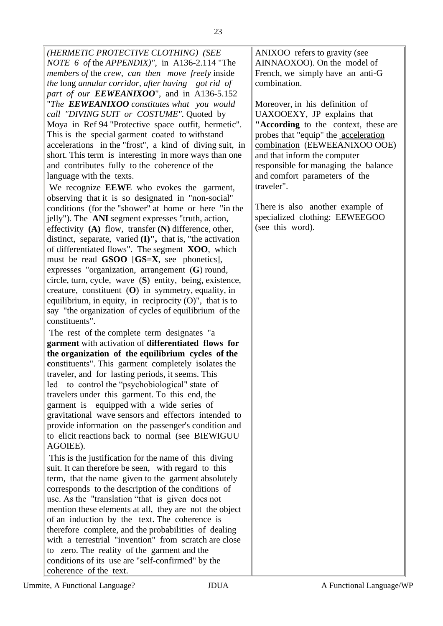*(HERMETIC PROTECTIVE CLOTHING) (SEE NOTE 6 of* the *APPENDIX)",* in A136-2.114 "The *members of* the *crew, can then move freely* inside *the* long *annular corridor, after having got rid of part of our EEWEANIXOO*", and in A136-5.152 "*The EEWEANIXOO constitutes what you would call "DIVING SUIT or COSTUME".* Quoted by Moya in Ref 94 "Protective space outfit, hermetic". This is the special garment coated to withstand accelerations in the "frost", a kind of diving suit, in short. This term is interesting in more ways than one and contributes fully to the coherence of the language with the texts.

We recognize **EEWE** who evokes the garment, observing that it is so designated in "non-social" conditions (for the "shower" at home or here "in the jelly"). The **ANI** segment expresses "truth, action, effectivity **(A)** flow, transfer **(N)** difference, other, distinct, separate, varied **(I)",** that is, "the activation of differentiated flows". The segment **XOO**, which must be read **GSOO** [**GS**=**X**, see phonetics], expresses "organization, arrangement (**G**) round, circle, turn, cycle, wave (**S**) entity, being, existence, creature, constituent (**O**) in symmetry, equality, in equilibrium, in equity, in reciprocity (O)", that is to say "the organization of cycles of equilibrium of the constituents".

The rest of the complete term designates "a **garment** with activation of **differentiated flows for the organization of the equilibrium cycles of the c**onstituents". This garment completely isolates the traveler, and for lasting periods, it seems. This led to control the "psychobiological" state of travelers under this garment. To this end, the garment is equipped with a wide series of gravitational wave sensors and effectors intended to provide information on the passenger's condition and to elicit reactions back to normal (see BIEWIGUU AGOIEE).

This is the justification for the name of this diving suit. It can therefore be seen, with regard to this term, that the name given to the garment absolutely corresponds to the description of the conditions of use. As the "translation "that is given does not mention these elements at all, they are not the object of an induction by the text. The coherence is therefore complete, and the probabilities of dealing with a terrestrial "invention" from scratch are close to zero. The reality of the garment and the conditions of its use are "self-confirmed" by the coherence of the text.

ANIXOO refers to gravity (see AINNAOXOO). On the model of French, we simply have an anti-G combination.

Moreover, in his definition of UAXOOEXY, JP explains that **"According** to the context, these are probes that "equip" the acceleration combination (EEWEEANIXOO OOE) and that inform the computer responsible for managing the balance and comfort parameters of the traveler".

There is also another example of specialized clothing: EEWEEGOO (see this word).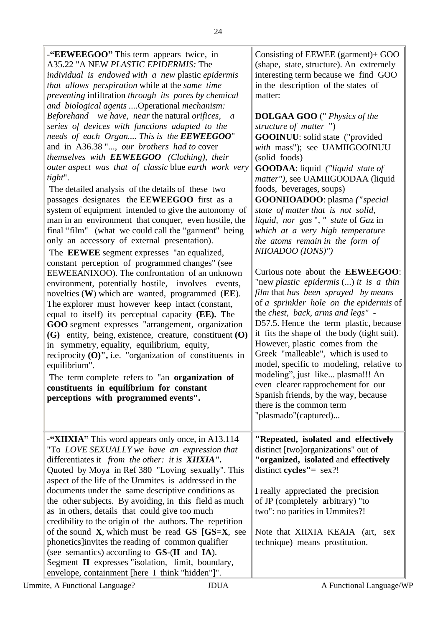**-"EEWEEGOO"** This term appears twice, in A35.22 "A NEW *PLASTIC EPIDERMIS:* The *individual is endowed with a new* plastic *epidermis that allows perspiration* while at the *same time preventing* infiltration *through its pores by chemical and biological agents ....*Operational *mechanism: Beforehand we have, near* the natural *orifices, a series of devices with functions adapted to the needs of each Organ.... This is the EEWEEGOO*" and in A36.38 "..., *our brothers had to* cover *themselves with EEWEEGOO (Clothing), their outer aspect was that of classic* blue *earth work very tight*". The detailed analysis of the details of these two passages designates the **EEWEEGOO** first as a system of equipment intended to give the autonomy of man in an environment that conquer, even hostile, the final "film" (what we could call the "garment" being only an accessory of external presentation). The **EEWEE** segment expresses "an equalized, constant perception of programmed changes" (see EEWEEANIXOO). The confrontation of an unknown environment, potentially hostile, involves events, novelties (**W**) which are wanted, programmed (**EE**). The explorer must however keep intact (constant, equal to itself) its perceptual capacity **(EE).** The **GOO** segment expresses "arrangement, organization **(G)** entity, being, existence, creature, constituent **(O)** in symmetry, equality, equilibrium, equity, reciprocity **(O)",** i.e. "organization of constituents in equilibrium". The term complete refers to "an **organization of constituents in equilibrium for constant perceptions with programmed events".** Consisting of EEWEE (garment)+ GOO (shape, state, structure). An extremely interesting term because we find GOO in the description of the states of matter: **DOLGAA GOO** (" *Physics of the structure of matter* ") **GOOINUU**: solid state ("provided *with* mass"); see UAMIIGOOINUU (solid foods) **GOODAA**: liquid *("liquid state of matter"),* see UAMIIGOODAA (liquid foods, beverages, soups) **GOONIIOADOO**: plasma *("special state of matter that is not solid, liquid, nor gas* ", *" state* of *Ga*z in *which at a very high temperature the atoms remain in the form of NIIOADOO (IONS)")* Curious note about the **EEWEEGOO**: "new *plastic epidermis* (...) *it is a thin film* that *has been sprayed by means* of *a sprinkler hole on the epidermis* of the *chest, back, arms and legs"* - D57.5. Hence the term plastic, because it fits the shape of the body (tight suit). However, plastic comes from the Greek "malleable", which is used to model, specific to modeling, relative to modeling", just like... plasma!!! An even clearer rapprochement for our Spanish friends, by the way, because there is the common term "plasmado"(captured)... **-"XIIXIA"** This word appears only once, in A13.114 "To *LOVE SEXUALLY we have an expression that* differentiates it *from the other: it is XIIXIA".* Quoted by Moya in Ref 380 "Loving sexually". This aspect of the life of the Ummites is addressed in the documents under the same descriptive conditions as the other subjects. By avoiding, in this field as much as in others, details that could give too much credibility to the origin of the authors. The repetition of the sound **X**, which must be read **GS** [**GS**=**X**, see phonetics]invites the reading of common qualifier (see semantics) according to **GS**-(**II** and **IA**). Segment **II** expresses "isolation, limit, boundary, envelope, containment [here I think "hidden"]". **"Repeated, isolated and effectively** distinct [two]organizations" out of **"organized, isolated** and **effectively** distinct **cycles"**= sex?! I really appreciated the precision of JP (completely arbitrary) "to two": no parities in Ummites?! Note that XIIXIA KEAIA (art, sex technique) means prostitution.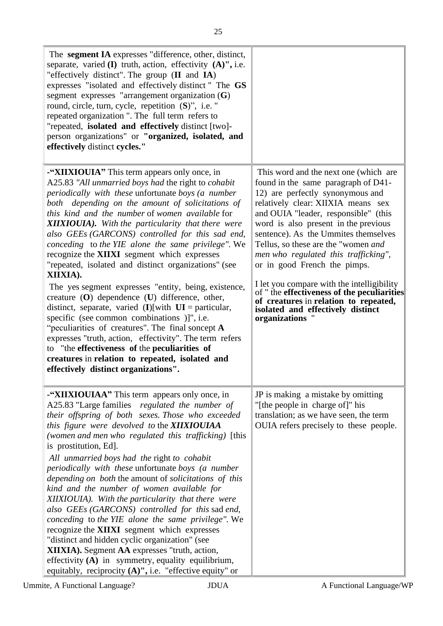| The segment IA expresses "difference, other, distinct,<br>separate, varied $(I)$ truth, action, effectivity $(A)$ ", i.e.<br>"effectively distinct". The group (II and IA)<br>expresses "isolated and effectively distinct" The GS<br>segment expresses "arrangement organization $(G)$<br>round, circle, turn, cycle, repetition (S)", i.e. "<br>repeated organization ". The full term refers to<br>"repeated, isolated and effectively distinct [two]-<br>person organizations" or "organized, isolated, and<br>effectively distinct cycles."                                                                                                                                                                                                                                                                                                                                                                                                                                                                                                      |                                                                                                                                                                                                                                                                                                                                                                                                                                                                                                                                                                                                    |
|-------------------------------------------------------------------------------------------------------------------------------------------------------------------------------------------------------------------------------------------------------------------------------------------------------------------------------------------------------------------------------------------------------------------------------------------------------------------------------------------------------------------------------------------------------------------------------------------------------------------------------------------------------------------------------------------------------------------------------------------------------------------------------------------------------------------------------------------------------------------------------------------------------------------------------------------------------------------------------------------------------------------------------------------------------|----------------------------------------------------------------------------------------------------------------------------------------------------------------------------------------------------------------------------------------------------------------------------------------------------------------------------------------------------------------------------------------------------------------------------------------------------------------------------------------------------------------------------------------------------------------------------------------------------|
| -"XIIXIOUIA" This term appears only once, in<br>A25.83 "All unmarried boys had the right to cohabit<br>periodically with these unfortunate boys (a number<br>both depending on the amount of solicitations of<br>this kind and the number of women available for<br><b>XIIXIOUIA</b> ). With the particularity that there were<br>also GEEs (GARCONS) controlled for this sad end,<br>conceding to the YIE alone the same privilege". We<br>recognize the <b>XIIXI</b> segment which expresses<br>"repeated, isolated and distinct organizations" (see<br>XIIXIA).<br>The yes segment expresses "entity, being, existence,<br>creature $(O)$ dependence $(U)$ difference, other,<br>distinct, separate, varied (I)[with $UI =$ particular,<br>specific (see common combinations )]", i.e.<br>"peculiarities of creatures". The final soncept A<br>expresses "truth, action, effectivity". The term refers<br>to "the effectiveness of the peculiarities of<br>creatures in relation to repeated, isolated and<br>effectively distinct organizations". | This word and the next one (which are<br>found in the same paragraph of D41-<br>12) are perfectly synonymous and<br>relatively clear: XIIXIA means sex<br>and OUIA "leader, responsible" (this<br>word is also present in the previous<br>sentence). As the Ummites themselves<br>Tellus, so these are the "women <i>and</i><br>men who regulated this trafficking",<br>or in good French the pimps.<br>I let you compare with the intelligibility<br>of " the effectiveness of the peculiarities<br>of creatures in relation to repeated,<br>isolated and effectively distinct<br>organizations " |
| -"XIIXIOUIAA" This term appears only once, in<br>A25.83 "Large families regulated the number of<br>their offspring of both sexes. Those who exceeded<br>this figure were devolved to the XIIXIOUIAA<br>(women and men who regulated this trafficking) [this<br>is prostitution, Ed.<br>All unmarried boys had the right to cohabit<br>periodically with these unfortunate boys (a number<br><i>depending on both</i> the amount of <i>solicitations</i> of this<br>kind and the number of women available for<br>XIIXIOUIA). With the particularity that there were<br>also GEEs (GARCONS) controlled for this sad end,<br>conceding to the YIE alone the same privilege". We<br>recognize the <b>XIIXI</b> segment which expresses<br>"distinct and hidden cyclic organization" (see<br>XIIXIA). Segment AA expresses "truth, action,<br>effectivity $(A)$ in symmetry, equality equilibrium,<br>equitably, reciprocity (A)", i.e. "effective equity" or                                                                                             | JP is making a mistake by omitting<br>"[the people in charge of]" his<br>translation; as we have seen, the term<br>OUIA refers precisely to these people.                                                                                                                                                                                                                                                                                                                                                                                                                                          |

25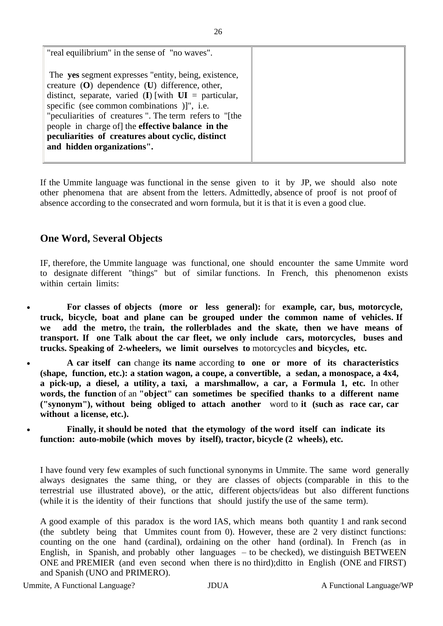| "real equilibrium" in the sense of "no waves".                                                                                                                                                                                                                                                                                                                                                                       |  |
|----------------------------------------------------------------------------------------------------------------------------------------------------------------------------------------------------------------------------------------------------------------------------------------------------------------------------------------------------------------------------------------------------------------------|--|
| The yes segment expresses "entity, being, existence,<br>creature $(O)$ dependence $(U)$ difference, other,<br>distinct, separate, varied (I) [with $UI =$ particular,<br>specific (see common combinations)]", i.e.<br>"peculiarities of creatures". The term refers to "[the<br>people in charge of the effective balance in the<br>peculiarities of creatures about cyclic, distinct<br>and hidden organizations". |  |

If the Ummite language was functional in the sense given to it by JP, we should also note other phenomena that are absent from the letters. Admittedly, absence of proof is not proof of absence according to the consecrated and worn formula, but it is that it is even a good clue.

## **One Word,** S**everal Objects**

IF, therefore, the Ummite language was functional, one should encounter the same Ummite word to designate different "things" but of similar functions. In French, this phenomenon exists within certain limits:

- **For classes of objects (more or less general):** for **example, car, bus, motorcycle, truck, bicycle, boat and plane can be grouped under the common name of vehicles. If we add the metro,** the **train, the rollerblades and the skate, then we have means of transport. If one Talk about the car fleet, we only include cars, motorcycles, buses and trucks. Speaking of 2-wheelers, we limit ourselves to** motorcycles **and bicycles, etc.**
- **A car itself can** change **its name** according **to one or more of its characteristics (shape, function, etc.): a station wagon, a coupe, a convertible, a sedan, a monospace, a 4x4, a pick-up, a diesel, a utility, a taxi, a marshmallow, a car, a Formula 1, etc.** In other **words, the function** of an **"object" can sometimes be specified thanks to a different name ("synonym"), without being obliged to attach another** word to **it (such as race car, car without a license, etc.).**

• **Finally, it should be noted that the etymology of the word itself can indicate its function: auto-mobile (which moves by itself), tractor, bicycle (2 wheels), etc.**

I have found very few examples of such functional synonyms in Ummite. The same word generally always designates the same thing, or they are classes of objects (comparable in this to the terrestrial use illustrated above), or the attic, different objects/ideas but also different functions (while it is the identity of their functions that should justify the use of the same term).

A good example of this paradox is the word IAS, which means both quantity 1 and rank second (the subtlety being that Ummites count from 0). However, these are 2 very distinct functions: counting on the one hand (cardinal), ordaining on the other hand (ordinal). In French (as in English, in Spanish, and probably other languages – to be checked), we distinguish BETWEEN ONE and PREMIER (and even second when there is no third);ditto in English (ONE and FIRST) and Spanish (UNO and PRIMERO).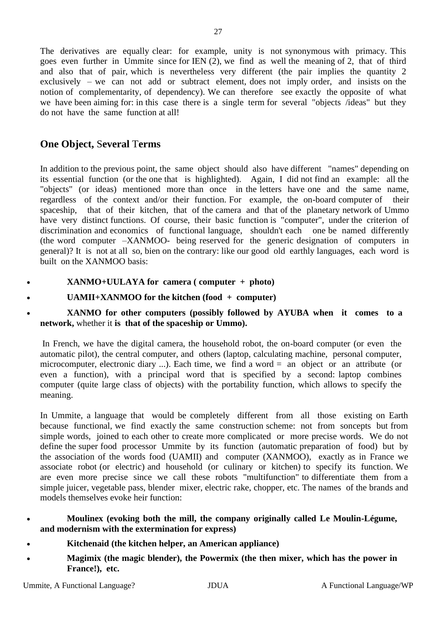The derivatives are equally clear: for example, unity is not synonymous with primacy. This goes even further in Ummite since for IEN (2), we find as well the meaning of 2, that of third and also that of pair, which is nevertheless very different (the pair implies the quantity 2 exclusively – we can not add or subtract element, does not imply order, and insists on the notion of complementarity, of dependency). We can therefore see exactly the opposite of what we have been aiming for: in this case there is a single term for several "objects /ideas" but they do not have the same function at all!

## **One Object,** S**everal** T**erms**

In addition to the previous point, the same object should also have different "names" depending on its essential function (or the one that is highlighted). Again, I did not find an example: all the "objects" (or ideas) mentioned more than once in the letters have one and the same name, regardless of the context and/or their function. For example, the on-board computer of their spaceship, that of their kitchen, that of the camera and that of the planetary network of Ummo have very distinct functions. Of course, their basic function is "computer", under the criterion of discrimination and economics of functional language, shouldn't each one be named differently (the word computer –XANMOO- being reserved for the generic designation of computers in general)? It is not at all so, bien on the contrary: like our good old earthly languages, each word is built on the XANMOO basis:

#### • **XANMO+UULAYA for camera ( computer + photo)**

#### • **UAMII+XANMOO for the kitchen (food + computer)**

#### • **XANMO for other computers (possibly followed by AYUBA when it comes to a network,** whether it **is that of the spaceship or Ummo).**

In French, we have the digital camera, the household robot, the on-board computer (or even the automatic pilot), the central computer, and others (laptop, calculating machine, personal computer, microcomputer, electronic diary ...). Each time, we find a word = an object or an attribute (or even a function), with a principal word that is specified by a second: laptop combines computer (quite large class of objects) with the portability function, which allows to specify the meaning.

In Ummite, a language that would be completely different from all those existing on Earth because functional, we find exactly the same construction scheme: not from soncepts but from simple words, joined to each other to create more complicated or more precise words. We do not define the super food processor Ummite by its function (automatic preparation of food) but by the association of the words food (UAMII) and computer (XANMOO), exactly as in France we associate robot (or electric) and household (or culinary or kitchen) to specify its function. We are even more precise since we call these robots "multifunction" to differentiate them from a simple juicer, vegetable pass, blender mixer, electric rake, chopper, etc. The names of the brands and models themselves evoke heir function:

#### • **Moulinex (evoking both the mill, the company originally called Le Moulin-Légume, and modernism with the extermination for express)**

- **Kitchenaid (the kitchen helper, an American appliance)**
- **Magimix (the magic blender), the Powermix (the then mixer, which has the power in France!), etc.**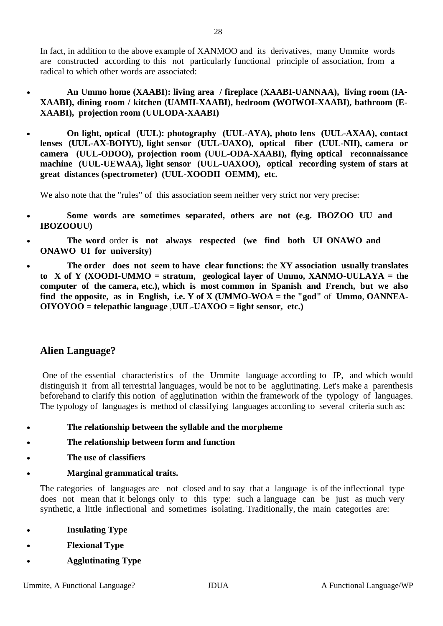In fact, in addition to the above example of XANMOO and its derivatives, many Ummite words are constructed according to this not particularly functional principle of association, from a radical to which other words are associated:

- **An Ummo home (XAABI): living area / fireplace (XAABI-UANNAA), living room (IA-XAABI), dining room / kitchen (UAMII-XAABI), bedroom (WOIWOI-XAABI), bathroom (E-XAABI), projection room (UULODA-XAABI)**
- **On light, optical (UUL): photography (UUL-AYA), photo lens (UUL-AXAA), contact lenses (UUL-AX-BOIYU), light sensor (UUL-UAXO), optical fiber (UUL-NII), camera or camera (UUL-ODOO), projection room (UUL-ODA-XAABI), flying optical reconnaissance machine (UUL-UEWAA), light sensor (UUL-UAXOO), optical recording system of stars at great distances (spectrometer) (UUL-XOODII OEMM), etc.**

We also note that the "rules" of this association seem neither very strict nor very precise:

- **Some words are sometimes separated, others are not (e.g. IBOZOO UU and IBOZOOUU)**
- **The word** order **is not always respected (we find both UI ONAWO and ONAWO UI for university)**
- **The order does not seem to have clear functions:** the **XY association usually translates to X of Y (XOODI-UMMO = stratum, geological layer of Ummo, XANMO-UULAYA = the computer of the camera, etc.), which is most common in Spanish and French, but we also find the opposite, as in English, i.e. Y of X (UMMO-WOA = the "god"** of **Ummo**, **OANNEA-OIYOYOO = telepathic language** ,**UUL-UAXOO = light sensor, etc.)**

## **Alien Language?**

One of the essential characteristics of the Ummite language according to JP, and which would distinguish it from all terrestrial languages, would be not to be agglutinating. Let's make a parenthesis beforehand to clarify this notion of agglutination within the framework of the typology of languages. The typology of languages is method of classifying languages according to several criteria such as:

- **The relationship between the syllable and the morpheme**
- **The relationship between form and function**
- **The use of classifiers**

#### • **Marginal grammatical traits.**

The categories of languages are not closed and to say that a language is of the inflectional type does not mean that it belongs only to this type: such a language can be just as much very synthetic, a little inflectional and sometimes isolating. Traditionally, the main categories are:

- **Insulating Type**
- **Flexional Type**
- **Agglutinating Type**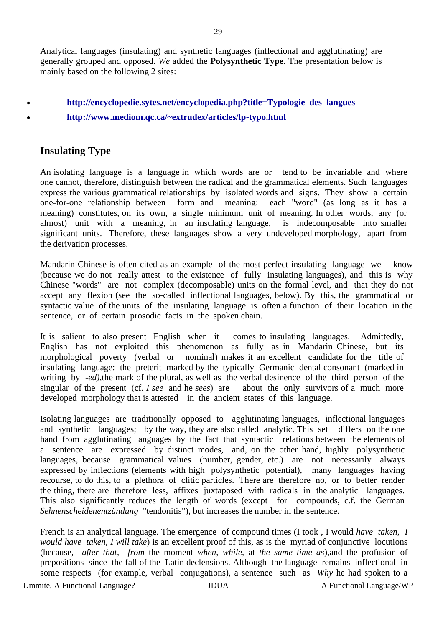Analytical languages (insulating) and synthetic languages (inflectional and agglutinating) are generally grouped and opposed. *We* added the **Polysynthetic Type**. The presentation below is mainly based on the following 2 sites:

## • **[http://encyclopedie.sytes.net/encyclopedia.php?title=Typologie\\_des\\_langues](http://encyclopedie.sytes.net/encyclopedia.php?title=Typologie_des_langues)** • **<http://www.mediom.qc.ca/~extrudex/articles/lp-typo.html>**

## **Insulating Type**

An isolating language is a language in which words are or tend to be invariable and where one cannot, therefore, distinguish between the radical and the grammatical elements. Such languages express the various grammatical relationships by isolated words and signs. They show a certain one-for-one relationship between form and meaning: each "word" (as long as it has a meaning) constitutes, on its own, a single minimum unit of meaning. In other words, any (or almost) unit with a meaning, in an insulating language, is indecomposable into smaller significant units. Therefore, these languages show a very undeveloped morphology, apart from the derivation processes.

Mandarin Chinese is often cited as an example of the most perfect insulating language we know (because we do not really attest to the existence of fully insulating languages), and this is why Chinese "words" are not complex (decomposable) units on the formal level, and that they do not accept any flexion (see the so-called inflectional languages, below). By this, the grammatical or syntactic value of the units of the insulating language is often a function of their location in the sentence, or of certain prosodic facts in the spoken chain.

It is salient to also present English when it comes to insulating languages. Admittedly, English has not exploited this phenomenon as fully as in Mandarin Chinese, but its morphological poverty (verbal or nominal) makes it an excellent candidate for the title of insulating language: the preterit marked by the typically Germanic dental consonant (marked in writing by *-ed),*the mark of the plural, as well as the verbal desinence of the third person of the singular of the present (cf. *I see* and he *sees*) are about the only survivors of a much more developed morphology that is attested in the ancient states of this language.

Isolating languages are traditionally opposed to agglutinating languages, inflectional languages and synthetic languages; by the way, they are also called analytic. This set differs on the one hand from agglutinating languages by the fact that syntactic relations between the elements of a sentence are expressed by distinct modes, and, on the other hand, highly polysynthetic languages, because grammatical values (number, gender, etc.) are not necessarily always expressed by inflections (elements with high polysynthetic potential), many languages having recourse, to do this, to a plethora of clitic particles. There are therefore no, or to better render the thing, there are therefore less, affixes juxtaposed with radicals in the analytic languages. This also significantly reduces the length of words (except for compounds, c.f. the German *Sehnenscheidenentzündung* "tendonitis"), but increases the number in the sentence.

French is an analytical language. The emergence of compound times (I took , I would *have taken*, *I would have taken*, *I will take*) is an excellent proof of this, as is the myriad of conjunctive locutions (because, *after that*, *from* the moment *when*, *while*, at *the same time as*),and the profusion of prepositions since the fall of the Latin declensions. Although the language remains inflectional in some respects (for example, verbal conjugations), a sentence such as *Why* he had spoken to a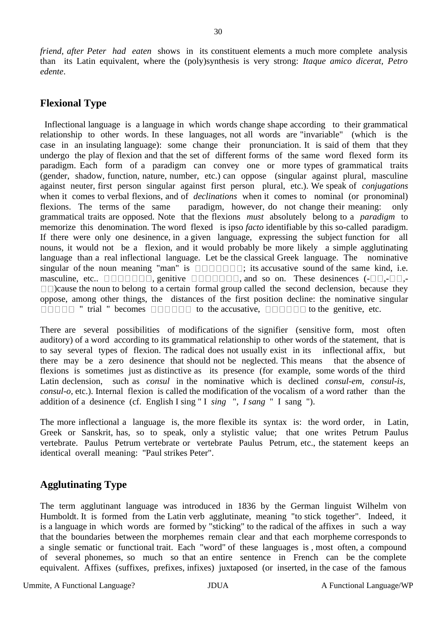*friend, after Peter had eaten* shows in its constituent elements a much more complete analysis than its Latin equivalent, where the (poly)synthesis is very strong: *Itaque amico dicerat, Petro edente*.

## **Flexional Type**

 Inflectional language is a language in which words change shape according to their grammatical relationship to other words. In these languages, not all words are "invariable" (which is the case in an insulating language): some change their pronunciation. It is said of them that they undergo the play of flexion and that the set of different forms of the same word flexed form its paradigm. Each form of a paradigm can convey one or more types of grammatical traits (gender, shadow, function, nature, number, etc.) can oppose (singular against plural, masculine against neuter, first person singular against first person plural, etc.). We speak of *conjugations* when it comes to verbal flexions, and of *declinations* when it comes to nominal (or pronominal) flexions. The terms of the same paradigm, however, do not change their meaning: only grammatical traits are opposed. Note that the flexions *must* absolutely belong to a *paradigm* to memorize this denomination. The word flexed is ipso *facto* identifiable by this so-called paradigm. If there were only one desinence, in a given language, expressing the subject function for all nouns, it would not be a flexion, and it would probably be more likely a simple agglutinating language than a real inflectional language. Let be the classical Greek language. The nominative singular of the noun meaning "man" is  $\square$  $\square$  $\square$  $\square$ ; its accusative sound of the same kind, i.e. masculine, etc..  $\Box$  $\Box$  $\Box$  $\Box$ , genitive  $\Box$  $\Box$  $\Box$  $\Box$ , and so on. These desinences (- $\Box$  $\Box$ ,- $\Box$  $\Box$ ,- $\Box$  $\Box$ ,- $\Box$  $\Box$ ),- $\square$  cause the noun to belong to a certain formal group called the second declension, because they oppose, among other things, the distances of the first position decline: the nominative singular  $\Box$  $\Box$  $\Box$  " trial " becomes  $\Box$  $\Box$  $\Box$  $\Box$  to the accusative,  $\Box$  $\Box$  $\Box$  $\Box$  $\Box$  $\Box$  to the genitive, etc.

There are several possibilities of modifications of the signifier (sensitive form, most often auditory) of a word according to its grammatical relationship to other words of the statement, that is to say several types of flexion. The radical does not usually exist in its inflectional affix, but there may be a zero desinence that should not be neglected. This means that the absence of flexions is sometimes just as distinctive as its presence (for example, some words of the third Latin declension, such as *consul* in the nominative which is declined *consul-em, consul-is, consul-o,* etc.). Internal flexion is called the modification of the vocalism of a word rather than the addition of a desinence (cf. English I sing " I *sing* ", *I sang* " I sang ").

The more inflectional a language is, the more flexible its syntax is: the word order, in Latin, Greek or Sanskrit, has, so to speak, only a stylistic value; that one writes Petrum Paulus vertebrate. Paulus Petrum vertebrate or vertebrate Paulus Petrum, etc., the statement keeps an identical overall meaning: "Paul strikes Peter".

## **Agglutinating Type**

The term agglutinant language was introduced in 1836 by the German linguist Wilhelm von Humboldt. It is formed from the Latin verb agglutinate, meaning "to stick together". Indeed, it is a language in which words are formed by "sticking" to the radical of the affixes in such a way that the boundaries between the morphemes remain clear and that each morpheme corresponds to a single sematic or functional trait. Each "word" of these languages is , most often, a compound of several phonemes, so much so that an entire sentence in French can be the complete equivalent. Affixes (suffixes, prefixes, infixes) juxtaposed (or inserted, in the case of the famous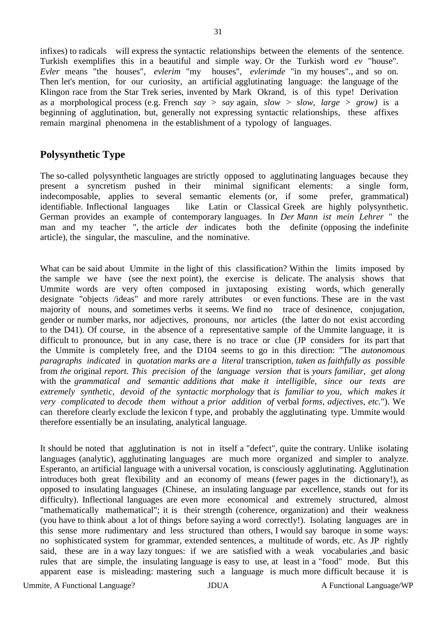infixes) to radicals will express the syntactic relationships between the elements of the sentence. Turkish exemplifies this in a beautiful and simple way. Or the Turkish word *ev* "house". *Evler* means "the houses", *evlerim* "my houses", *evlerimde* "in my houses"., and so on. Then let's mention, for our curiosity, an artificial agglutinating language: the language of the Klingon race from the Star Trek series, invented by Mark Okrand, is of this type! Derivation as a morphological process (e.g. French *say > say* again, *slow > slow, large > grow)* is a beginning of agglutination, but, generally not expressing syntactic relationships, these affixes remain marginal phenomena in the establishment of a typology of languages.

## **Polysynthetic Type**

The so-called polysynthetic languages are strictly opposed to agglutinating languages because they present a syncretism pushed in their minimal significant elements: a single form, indecomposable, applies to several semantic elements (or, if some prefer, grammatical) identifiable. Inflectional languages like Latin or Classical Greek are highly polysynthetic. German provides an example of contemporary languages. In *Der Mann ist mein Lehrer* " the man and my teacher ", the article *der* indicates both the definite (opposing the indefinite article), the singular, the masculine, and the nominative.

What can be said about Ummite in the light of this classification? Within the limits imposed by the sample we have (see the next point), the exercise is delicate. The analysis shows that Ummite words are very often composed in juxtaposing existing words, which generally designate "objects /ideas" and more rarely attributes or even functions. These are in the vast majority of nouns, and sometimes verbs it seems. We find no trace of desinence, conjugation, gender or number marks, nor adjectives, pronouns, nor articles (the latter do not exist according to the D41). Of course, in the absence of a representative sample of the Ummite language, it is difficult to pronounce, but in any case, there is no trace or clue (JP considers for its part that the Ummite is completely free, and the D104 seems to go in this direction: "The *autonomous paragraphs indicated* in *quotation marks are a literal* transcription*, taken as faithfully as possible* from *the* original *report. This precision of* the *language version that* is *yours familiar, get along* with the *grammatical and semantic additions that make it intelligible, since our texts are extremely synthetic, devoid of the syntactic morphology* that *is familiar to you, which makes it very complicated* to *decode them without* a *prior addition of* verbal *forms, adjectives, etc.*"). We can therefore clearly exclude the lexicon f type, and probably the agglutinating type. Ummite would therefore essentially be an insulating, analytical language.

It should be noted that agglutination is not in itself a "defect", quite the contrary. Unlike isolating languages (analytic), agglutinating languages are much more organized and simpler to analyze. Esperanto, an artificial language with a universal vocation, is consciously agglutinating. Agglutination introduces both great flexibility and an economy of means (fewer pages in the dictionary!), as opposed to insulating languages (Chinese, an insulating language par excellence, stands out for its difficulty). Inflectional languages are even more economical and extremely structured, almost "mathematically mathematical"; it is their strength (coherence, organization) and their weakness (you have to think about a lot of things before saying a word correctly!). Isolating languages are in this sense more rudimentary and less structured than others, I would say baroque in some ways: no sophisticated system for grammar, extended sentences, a multitude of words, etc. As JP rightly said, these are in a way lazy tongues: if we are satisfied with a weak vocabularies ,and basic rules that are simple, the insulating language is easy to use, at least in a "food" mode. But this apparent ease is misleading: mastering such a language is much more difficult because it is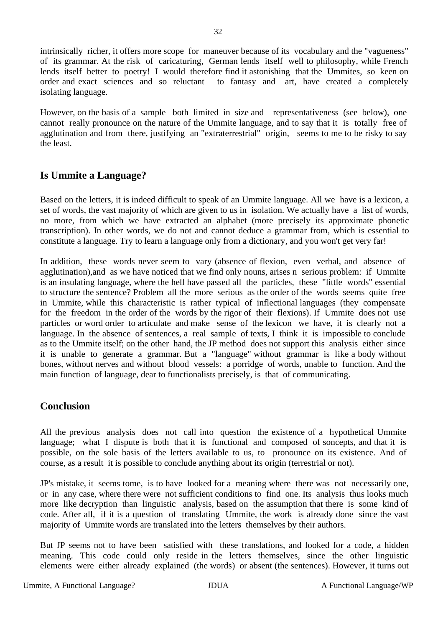intrinsically richer, it offers more scope for maneuver because of its vocabulary and the "vagueness" of its grammar. At the risk of caricaturing, German lends itself well to philosophy, while French lends itself better to poetry! I would therefore find it astonishing that the Ummites, so keen on order and exact sciences and so reluctant to fantasy and art, have created a completely isolating language.

However, on the basis of a sample both limited in size and representativeness (see below), one cannot really pronounce on the nature of the Ummite language, and to say that it is totally free of agglutination and from there, justifying an "extraterrestrial" origin, seems to me to be risky to say the least.

## **Is Ummite a Language?**

Based on the letters, it is indeed difficult to speak of an Ummite language. All we have is a lexicon, a set of words, the vast majority of which are given to us in isolation. We actually have a list of words, no more, from which we have extracted an alphabet (more precisely its approximate phonetic transcription). In other words, we do not and cannot deduce a grammar from, which is essential to constitute a language. Try to learn a language only from a dictionary, and you won't get very far!

In addition, these words never seem to vary (absence of flexion, even verbal, and absence of agglutination),and as we have noticed that we find only nouns, arises n serious problem: if Ummite is an insulating language, where the hell have passed all the particles, these "little words" essential to structure the sentence? Problem all the more serious as the order of the words seems quite free in Ummite, while this characteristic is rather typical of inflectional languages (they compensate for the freedom in the order of the words by the rigor of their flexions). If Ummite does not use particles or word order to articulate and make sense of the lexicon we have, it is clearly not a language. In the absence of sentences, a real sample of texts, I think it is impossible to conclude as to the Ummite itself; on the other hand, the JP method does not support this analysis either since it is unable to generate a grammar. But a "language" without grammar is like a body without bones, without nerves and without blood vessels: a porridge of words, unable to function. And the main function of language, dear to functionalists precisely, is that of communicating.

## **Conclusion**

All the previous analysis does not call into question the existence of a hypothetical Ummite language; what I dispute is both that it is functional and composed of soncepts, and that it is possible, on the sole basis of the letters available to us, to pronounce on its existence. And of course, as a result it is possible to conclude anything about its origin (terrestrial or not).

JP's mistake, it seems tome, is to have looked for a meaning where there was not necessarily one, or in any case, where there were not sufficient conditions to find one. Its analysis thus looks much more like decryption than linguistic analysis, based on the assumption that there is some kind of code. After all, if it is a question of translating Ummite, the work is already done since the vast majority of Ummite words are translated into the letters themselves by their authors.

But JP seems not to have been satisfied with these translations, and looked for a code, a hidden meaning. This code could only reside in the letters themselves, since the other linguistic elements were either already explained (the words) or absent (the sentences). However, it turns out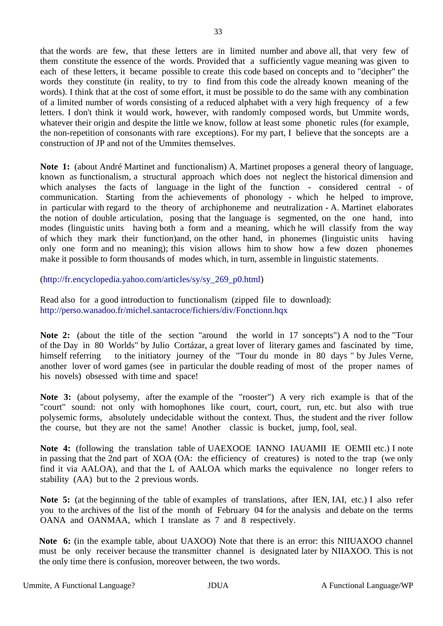that the words are few, that these letters are in limited number and above all, that very few of them constitute the essence of the words. Provided that a sufficiently vague meaning was given to each of these letters, it became possible to create this code based on concepts and to "decipher" the words they constitute (in reality, to try to find from this code the already known meaning of the words). I think that at the cost of some effort, it must be possible to do the same with any combination of a limited number of words consisting of a reduced alphabet with a very high frequency of a few letters. I don't think it would work, however, with randomly composed words, but Ummite words, whatever their origin and despite the little we know, follow at least some phonetic rules (for example, the non-repetition of consonants with rare exceptions). For my part, I believe that the soncepts are a construction of JP and not of the Ummites themselves.

**Note 1:** (about André Martinet and functionalism) A. Martinet proposes a general theory of language, known as functionalism, a structural approach which does not neglect the historical dimension and which analyses the facts of language in the light of the function - considered central - of communication. Starting from the achievements of phonology - which he helped to improve, in particular with regard to the theory of archiphoneme and neutralization - A. Martinet elaborates the notion of double articulation, posing that the language is segmented, on the one hand, into modes (linguistic units having both a form and a meaning, which he will classify from the way of which they mark their function)and, on the other hand, in phonemes (linguistic units having only one form and no meaning); this vision allows him to show how a few dozen phonemes make it possible to form thousands of modes which, in turn, assemble in linguistic statements.

[\(http://fr.encyclopedia.yahoo.com/articles/sy/sy\\_269\\_p0.html\)](http://fr.encyclopedia.yahoo.com/articles/sy/sy_269_p0.html)

Read also for a good introduction to functionalism (zipped file to download): <http://perso.wanadoo.fr/michel.santacroce/fichiers/div/Fonctionn.hqx>

**Note 2:** (about the title of the section "around the world in 17 soncepts") A nod to the "Tour of the Day in 80 Worlds" by Julio Cortázar, a great lover of literary games and fascinated by time, himself referring to the initiatory journey of the "Tour du monde in 80 days" by Jules Verne, another lover of word games (see in particular the double reading of most of the proper names of his novels) obsessed with time and space!

**Note 3:** (about polysemy, after the example of the "rooster") A very rich example is that of the "court" sound: not only with homophones like court, court, court, run, etc. but also with true polysemic forms, absolutely undecidable without the context. Thus, the student and the river follow the course, but they are not the same! Another classic is bucket, jump, fool, seal.

**Note 4:** (following the translation table of UAEXOOE IANNO IAUAMII IE OEMII etc.) I note in passing that the 2nd part of XOA (OA: the efficiency of creatures) is noted to the trap (we only find it via AALOA), and that the L of AALOA which marks the equivalence no longer refers to stability (AA) but to the 2 previous words.

**Note 5:** (at the beginning of the table of examples of translations, after IEN, IAI, etc.) I also refer you to the archives of the list of the month of February 04 for the analysis and debate on the terms OANA and OANMAA, which I translate as 7 and 8 respectively.

**Note 6:** (in the example table, about UAXOO) Note that there is an error: this NIIUAXOO channel must be only receiver because the transmitter channel is designated later by NIIAXOO. This is not the only time there is confusion, moreover between, the two words.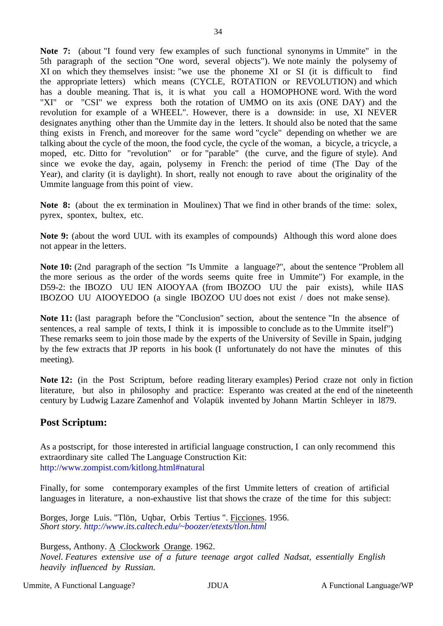**Note 7:** (about "I found very few examples of such functional synonyms in Ummite" in the 5th paragraph of the section "One word, several objects"). We note mainly the polysemy of XI on which they themselves insist: "we use the phoneme XI or SI (it is difficult to find the appropriate letters) which means (CYCLE, ROTATION or REVOLUTION) and which has a double meaning. That is, it is what you call a HOMOPHONE word. With the word "XI" or "CSI" we express both the rotation of UMMO on its axis (ONE DAY) and the revolution for example of a WHEEL". However, there is a downside: in use, XI NEVER designates anything other than the Ummite day in the letters. It should also be noted that the same thing exists in French, and moreover for the same word "cycle" depending on whether we are talking about the cycle of the moon, the food cycle, the cycle of the woman, a bicycle, a tricycle, a moped, etc. Ditto for "revolution" or for "parable" (the curve, and the figure of style). And since we evoke the day, again, polysemy in French: the period of time (The Day of the Year), and clarity (it is daylight). In short, really not enough to rave about the originality of the Ummite language from this point of view.

**Note 8:** (about the ex termination in Moulinex) That we find in other brands of the time: solex, pyrex, spontex, bultex, etc.

**Note 9:** (about the word UUL with its examples of compounds) Although this word alone does not appear in the letters.

**Note 10:** (2nd paragraph of the section "Is Ummite a language?", about the sentence "Problem all the more serious as the order of the words seems quite free in Ummite") For example, in the D59-2: the IBOZO UU IEN AIOOYAA (from IBOZOO UU the pair exists), while IIAS IBOZOO UU AIOOYEDOO (a single IBOZOO UU does not exist / does not make sense).

**Note 11:** (last paragraph before the "Conclusion" section, about the sentence "In the absence of sentences, a real sample of texts, I think it is impossible to conclude as to the Ummite itself") These remarks seem to join those made by the experts of the University of Seville in Spain, judging by the few extracts that JP reports in his book (I unfortunately do not have the minutes of this meeting).

**Note 12:** (in the Post Scriptum, before reading literary examples) Period craze not only in fiction literature, but also in philosophy and practice: Esperanto was created at the end of the nineteenth century by Ludwig Lazare Zamenhof and Volapük invented by Johann Martin Schleyer in l879.

## **Post Scriptum:**

As a postscript, for those interested in artificial language construction, I can only recommend this extraordinary site called The Language Construction Kit: [http://www.zompist.com/kitlong.html#natural](http://www.zompist.com/kitlong.html)

Finally, for some contemporary examples of the first Ummite letters of creation of artificial languages in literature, a non-exhaustive list that shows the craze of the time for this subject:

Borges, Jorge Luis. "Tlön, Uqbar, Orbis Tertius ". Ficciones. 1956. *Short story. <http://www.its.caltech.edu/~boozer/etexts/tlon.html>*

Burgess, Anthony. A Clockwork Orange. 1962. *Novel. Features extensive use of a future teenage argot called Nadsat, essentially English heavily influenced by Russian.*